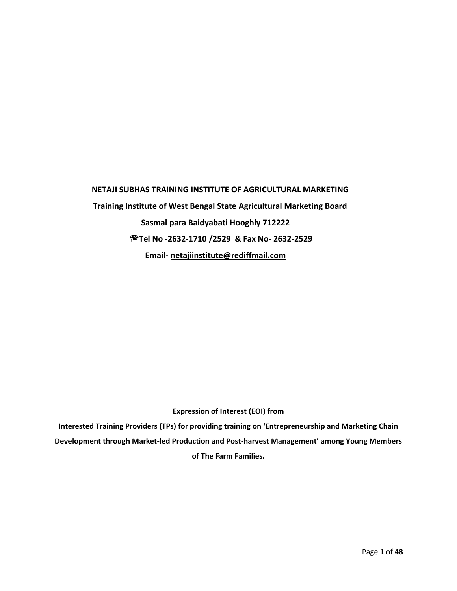# **NETAJI SUBHAS TRAINING INSTITUTE OF AGRICULTURAL MARKETING Training Institute of West Bengal State Agricultural Marketing Board Sasmal para Baidyabati Hooghly 712222 Tel No -2632-1710 /2529 & Fax No- 2632-2529 Email- [netajiinstitute@rediffmail.com](mailto:netajiinstitute@rediffmail.com)**

#### **Expression of Interest (EOI) from**

**Interested Training Providers (TPs) for providing training on 'Entrepreneurship and Marketing Chain Development through Market-led Production and Post-harvest Management' among Young Members of The Farm Families.**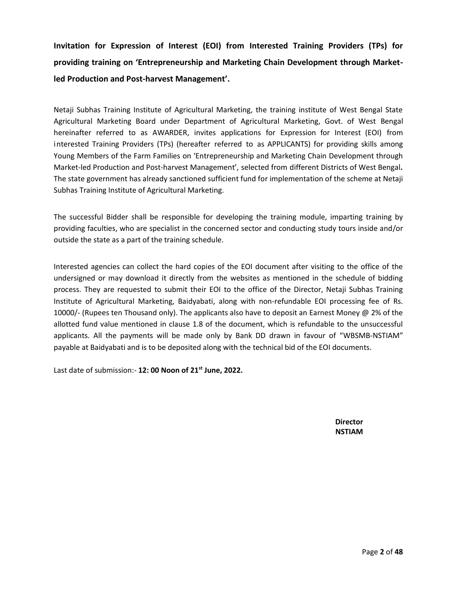**Invitation for Expression of Interest (EOI) from Interested Training Providers (TPs) for providing training on 'Entrepreneurship and Marketing Chain Development through Marketled Production and Post-harvest Management'.**

Netaji Subhas Training Institute of Agricultural Marketing, the training institute of West Bengal State Agricultural Marketing Board under Department of Agricultural Marketing, Govt. of West Bengal hereinafter referred to as AWARDER, invites applications for Expression for Interest (EOI) from interested Training Providers (TPs) (hereafter referred to as APPLICANTS) for providing skills among Young Members of the Farm Families on 'Entrepreneurship and Marketing Chain Development through Market-led Production and Post-harvest Management', selected from different Districts of West Bengal**.** The state government has already sanctioned sufficient fund for implementation of the scheme at Netaji Subhas Training Institute of Agricultural Marketing.

The successful Bidder shall be responsible for developing the training module, imparting training by providing faculties, who are specialist in the concerned sector and conducting study tours inside and/or outside the state as a part of the training schedule.

Interested agencies can collect the hard copies of the EOI document after visiting to the office of the undersigned or may download it directly from the websites as mentioned in the schedule of bidding process. They are requested to submit their EOI to the office of the Director, Netaji Subhas Training Institute of Agricultural Marketing, Baidyabati, along with non-refundable EOI processing fee of Rs. 10000/- (Rupees ten Thousand only). The applicants also have to deposit an Earnest Money @ 2% of the allotted fund value mentioned in clause 1.8 of the document, which is refundable to the unsuccessful applicants. All the payments will be made only by Bank DD drawn in favour of "WBSMB-NSTIAM" payable at Baidyabati and is to be deposited along with the technical bid of the EOI documents.

Last date of submission:- **12: 00 Noon of 21st June, 2022.**

**Director NSTIAM**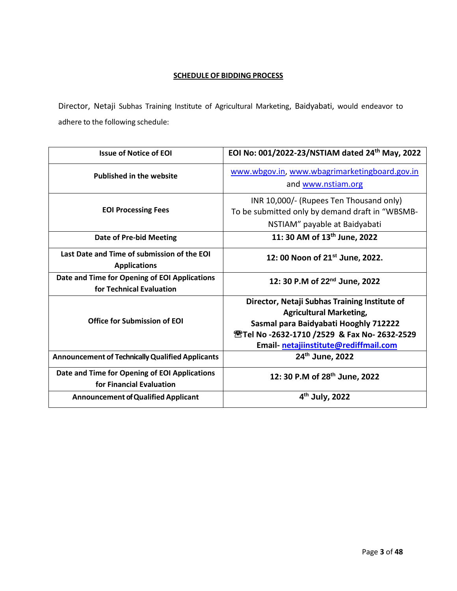## **SCHEDULE OF BIDDING PROCESS**

Director, Netaji Subhas Training Institute of Agricultural Marketing, Baidyabati, would endeavor to adhere to the following schedule:

| <b>Issue of Notice of EOI</b>                                             | EOI No: 001/2022-23/NSTIAM dated 24th May, 2022                                                                                                                                                                             |
|---------------------------------------------------------------------------|-----------------------------------------------------------------------------------------------------------------------------------------------------------------------------------------------------------------------------|
| <b>Published in the website</b>                                           | www.wbgov.in, www.wbagrimarketingboard.gov.in<br>and www.nstiam.org                                                                                                                                                         |
| <b>EOI Processing Fees</b>                                                | INR 10,000/- (Rupees Ten Thousand only)<br>To be submitted only by demand draft in "WBSMB-<br>NSTIAM" payable at Baidyabati                                                                                                 |
| <b>Date of Pre-bid Meeting</b>                                            | 11: 30 AM of 13 <sup>th</sup> June, 2022                                                                                                                                                                                    |
| Last Date and Time of submission of the EOI<br><b>Applications</b>        | 12:00 Noon of 21 <sup>st</sup> June, 2022.                                                                                                                                                                                  |
| Date and Time for Opening of EOI Applications<br>for Technical Evaluation | 12: 30 P.M of 22 <sup>nd</sup> June, 2022                                                                                                                                                                                   |
| <b>Office for Submission of EQI</b>                                       | Director, Netaji Subhas Training Institute of<br><b>Agricultural Marketing,</b><br>Sasmal para Baidyabati Hooghly 712222<br><b>@Tel No -2632-1710 /2529 &amp; Fax No- 2632-2529</b><br>Email netajiinstitute@rediffmail.com |
| <b>Announcement of Technically Qualified Applicants</b>                   | 24th June, 2022                                                                                                                                                                                                             |
| Date and Time for Opening of EOI Applications<br>for Financial Evaluation | 12: 30 P.M of 28th June, 2022                                                                                                                                                                                               |
| <b>Announcement of Qualified Applicant</b>                                | 4 <sup>th</sup> July, 2022                                                                                                                                                                                                  |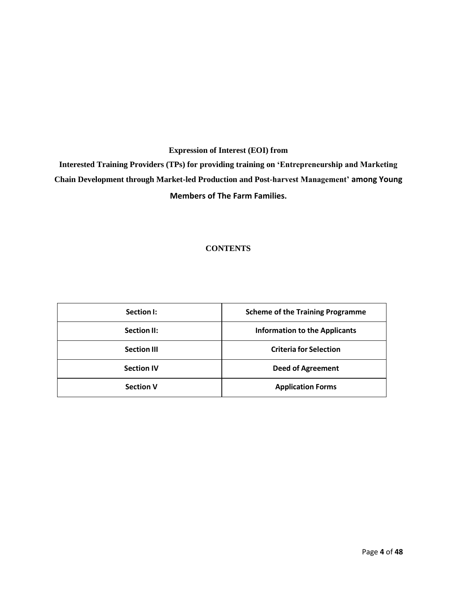## **Expression of Interest (EOI) from**

**Interested Training Providers (TPs) for providing training on 'Entrepreneurship and Marketing Chain Development through Market-led Production and Post-harvest Management' among Young Members of The Farm Families.**

## **CONTENTS**

| Section I:         | <b>Scheme of the Training Programme</b> |
|--------------------|-----------------------------------------|
| <b>Section II:</b> | <b>Information to the Applicants</b>    |
| <b>Section III</b> | <b>Criteria for Selection</b>           |
| <b>Section IV</b>  | <b>Deed of Agreement</b>                |
| <b>Section V</b>   | <b>Application Forms</b>                |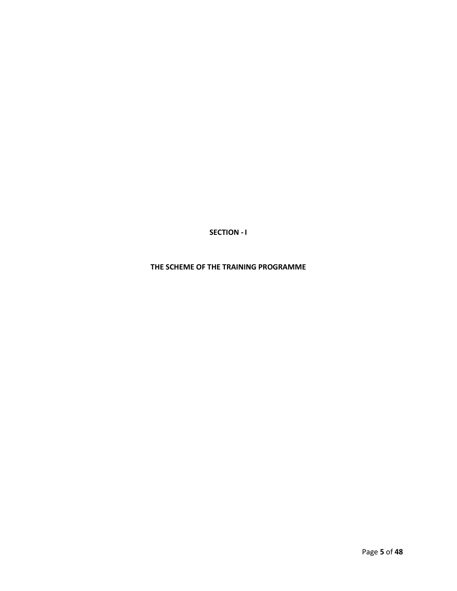**SECTION - I**

**THE SCHEME OF THE TRAINING PROGRAMME**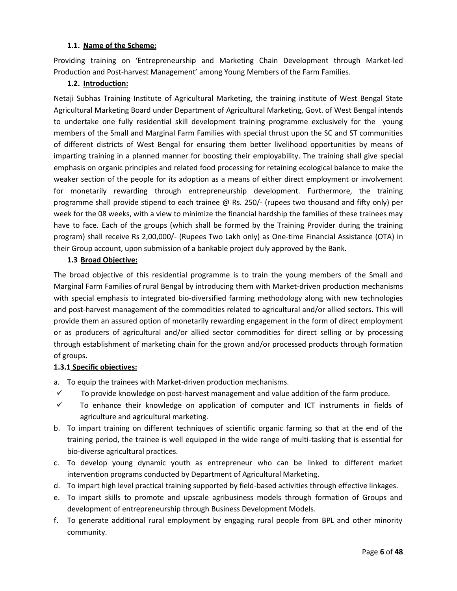#### **1.1. Name of the Scheme:**

Providing training on 'Entrepreneurship and Marketing Chain Development through Market-led Production and Post-harvest Management' among Young Members of the Farm Families.

### **1.2. Introduction:**

Netaji Subhas Training Institute of Agricultural Marketing, the training institute of West Bengal State Agricultural Marketing Board under Department of Agricultural Marketing, Govt. of West Bengal intends to undertake one fully residential skill development training programme exclusively for the young members of the Small and Marginal Farm Families with special thrust upon the SC and ST communities of different districts of West Bengal for ensuring them better livelihood opportunities by means of imparting training in a planned manner for boosting their employability. The training shall give special emphasis on organic principles and related food processing for retaining ecological balance to make the weaker section of the people for its adoption as a means of either direct employment or involvement for monetarily rewarding through entrepreneurship development. Furthermore, the training programme shall provide stipend to each trainee @ Rs. 250/- (rupees two thousand and fifty only) per week for the 08 weeks, with a view to minimize the financial hardship the families of these trainees may have to face. Each of the groups (which shall be formed by the Training Provider during the training program) shall receive Rs 2,00,000/- (Rupees Two Lakh only) as One-time Financial Assistance (OTA) in their Group account, upon submission of a bankable project duly approved by the Bank.

#### **1.3 Broad Objective:**

The broad objective of this residential programme is to train the young members of the Small and Marginal Farm Families of rural Bengal by introducing them with Market-driven production mechanisms with special emphasis to integrated bio-diversified farming methodology along with new technologies and post-harvest management of the commodities related to agricultural and/or allied sectors. This will provide them an assured option of monetarily rewarding engagement in the form of direct employment or as producers of agricultural and/or allied sector commodities for direct selling or by processing through establishment of marketing chain for the grown and/or processed products through formation of groups**.**

## **1.3.1 Specific objectives:**

- a. To equip the trainees with Market-driven production mechanisms.
- $\checkmark$  To provide knowledge on post-harvest management and value addition of the farm produce.
- $\checkmark$  To enhance their knowledge on application of computer and ICT instruments in fields of agriculture and agricultural marketing.
- b. To impart training on different techniques of scientific organic farming so that at the end of the training period, the trainee is well equipped in the wide range of multi-tasking that is essential for bio-diverse agricultural practices.
- c. To develop young dynamic youth as entrepreneur who can be linked to different market intervention programs conducted by Department of Agricultural Marketing.
- d. To impart high level practical training supported by field-based activities through effective linkages.
- e. To impart skills to promote and upscale agribusiness models through formation of Groups and development of entrepreneurship through Business Development Models.
- f. To generate additional rural employment by engaging rural people from BPL and other minority community.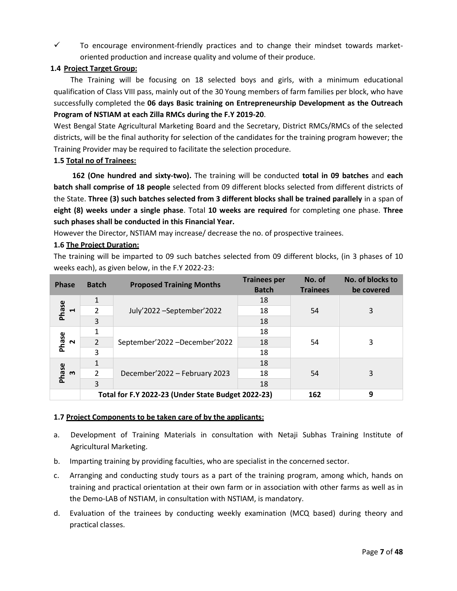$\checkmark$  To encourage environment-friendly practices and to change their mindset towards marketoriented production and increase quality and volume of their produce.

## **1.4 Project Target Group:**

 The Training will be focusing on 18 selected boys and girls, with a minimum educational qualification of Class VIII pass, mainly out of the 30 Young members of farm families per block, who have successfully completed the **06 days Basic training on Entrepreneurship Development as the Outreach Program of NSTIAM at each Zilla RMCs during the F.Y 2019-20**.

West Bengal State Agricultural Marketing Board and the Secretary, District RMCs/RMCs of the selected districts, will be the final authority for selection of the candidates for the training program however; the Training Provider may be required to facilitate the selection procedure.

## **1.5 Total no of Trainees:**

 **162 (One hundred and sixty-two).** The training will be conducted **total in 09 batches** and **each batch shall comprise of 18 people** selected from 09 different blocks selected from different districts of the State. **Three (3) such batches selected from 3 different blocks shall be trained parallely** in a span of **eight (8) weeks under a single phase**. Total **10 weeks are required** for completing one phase. **Three such phases shall be conducted in this Financial Year.**

However the Director, NSTIAM may increase/ decrease the no. of prospective trainees.

## **1.6 The Project Duration:**

The training will be imparted to 09 such batches selected from 09 different blocks, (in 3 phases of 10 weeks each), as given below, in the F.Y 2022-23:

| <b>Phase</b>                   | <b>Batch</b>   | <b>Proposed Training Months</b>                    | <b>Trainees per</b><br><b>Batch</b> | No. of<br><b>Trainees</b> | No. of blocks to<br>be covered |
|--------------------------------|----------------|----------------------------------------------------|-------------------------------------|---------------------------|--------------------------------|
|                                |                |                                                    | 18                                  |                           |                                |
| Phase<br>$\blacksquare$        | $\mathcal{P}$  | July'2022 - September' 2022                        | 18                                  | 54                        | 3                              |
|                                | 3              |                                                    | 18                                  |                           |                                |
|                                |                | September'2022 -December'2022                      | 18                                  |                           |                                |
| Phase<br>$\sim$                | $\overline{2}$ |                                                    | 18                                  | 54                        | 3                              |
|                                | 3              |                                                    | 18                                  |                           |                                |
|                                |                |                                                    | 18                                  |                           |                                |
| Phase<br>$\boldsymbol{\omega}$ | $\mathcal{P}$  | December'2022 - February 2023                      | 18                                  | 54                        | 3                              |
|                                | 3              |                                                    | 18                                  |                           |                                |
|                                |                | Total for F.Y 2022-23 (Under State Budget 2022-23) |                                     | 162                       | 9                              |

#### **1.7 Project Components to be taken care of by the applicants:**

- a. Development of Training Materials in consultation with Netaji Subhas Training Institute of Agricultural Marketing.
- b. Imparting training by providing faculties, who are specialist in the concerned sector.
- c. Arranging and conducting study tours as a part of the training program, among which, hands on training and practical orientation at their own farm or in association with other farms as well as in the Demo-LAB of NSTIAM, in consultation with NSTIAM, is mandatory.
- d. Evaluation of the trainees by conducting weekly examination (MCQ based) during theory and practical classes.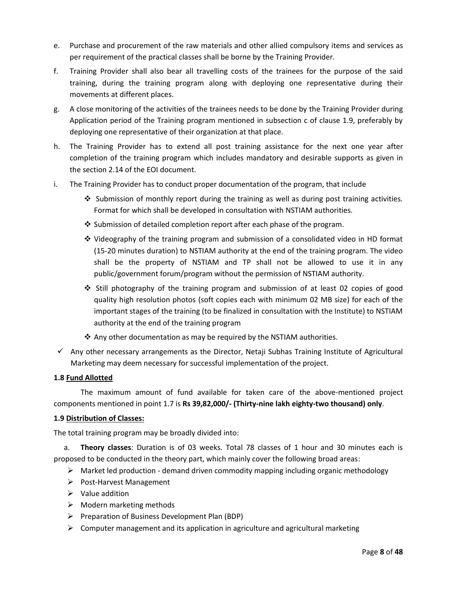- e. Purchase and procurement of the raw materials and other allied compulsory items and services as per requirement of the practical classes shall be borne by the Training Provider.
- f. Training Provider shall also bear all travelling costs of the trainees for the purpose of the said training, during the training program along with deploying one representative during their movements at different places.
- g. A close monitoring of the activities of the trainees needs to be done by the Training Provider during Application period of the Training program mentioned in subsection c of clause 1.9, preferably by deploying one representative of their organization at that place.
- h. The Training Provider has to extend all post training assistance for the next one year after completion of the training program which includes mandatory and desirable supports as given in the section 2.14 of the EOI document.
- i. The Training Provider has to conduct proper documentation of the program, that include
	- ❖ Submission of monthly report during the training as well as during post training activities. Format for which shall be developed in consultation with NSTIAM authorities.
	- $\clubsuit$  Submission of detailed completion report after each phase of the program.
	- ❖ Videography of the training program and submission of a consolidated video in HD format (15-20 minutes duration) to NSTIAM authority at the end of the training program. The video shall be the property of NSTIAM and TP shall not be allowed to use it in any public/government forum/program without the permission of NSTIAM authority.
	- ❖ Still photography of the training program and submission of at least 02 copies of good quality high resolution photos (soft copies each with minimum 02 MB size) for each of the important stages of the training (to be finalized in consultation with the Institute) to NSTIAM authority at the end of the training program
	- ❖ Any other documentation as may be required by the NSTIAM authorities.
- $\checkmark$  Any other necessary arrangements as the Director, Netaji Subhas Training Institute of Agricultural Marketing may deem necessary for successful implementation of the project.

#### **1.8 Fund Allotted**

The maximum amount of fund available for taken care of the above-mentioned project components mentioned in point 1.7 is **Rs 39,82,000/- (Thirty-nine lakh eighty-two thousand) only**.

#### **1.9 Distribution of Classes:**

The total training program may be broadly divided into:

a. **Theory classes**: Duration is of 03 weeks. Total 78 classes of 1 hour and 30 minutes each is proposed to be conducted in the theory part, which mainly cover the following broad areas:

- $\triangleright$  Market led production demand driven commodity mapping including organic methodology
- ➢ Post-Harvest Management
- ➢ Value addition
- $\triangleright$  Modern marketing methods
- ➢ Preparation of Business Development Plan (BDP)
- $\triangleright$  Computer management and its application in agriculture and agricultural marketing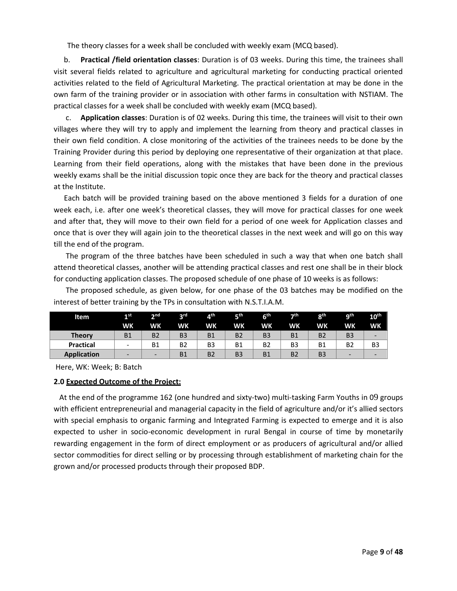The theory classes for a week shall be concluded with weekly exam (MCQ based).

b. **Practical /field orientation classes**: Duration is of 03 weeks. During this time, the trainees shall visit several fields related to agriculture and agricultural marketing for conducting practical oriented activities related to the field of Agricultural Marketing. The practical orientation at may be done in the own farm of the training provider or in association with other farms in consultation with NSTIAM. The practical classes for a week shall be concluded with weekly exam (MCQ based).

c. **Application classes**: Duration is of 02 weeks. During this time, the trainees will visit to their own villages where they will try to apply and implement the learning from theory and practical classes in their own field condition. A close monitoring of the activities of the trainees needs to be done by the Training Provider during this period by deploying one representative of their organization at that place. Learning from their field operations, along with the mistakes that have been done in the previous weekly exams shall be the initial discussion topic once they are back for the theory and practical classes at the Institute.

Each batch will be provided training based on the above mentioned 3 fields for a duration of one week each, i.e. after one week's theoretical classes, they will move for practical classes for one week and after that, they will move to their own field for a period of one week for Application classes and once that is over they will again join to the theoretical classes in the next week and will go on this way till the end of the program.

The program of the three batches have been scheduled in such a way that when one batch shall attend theoretical classes, another will be attending practical classes and rest one shall be in their block for conducting application classes. The proposed schedule of one phase of 10 weeks is as follows:

The proposed schedule, as given below, for one phase of the 03 batches may be modified on the interest of better training by the TPs in consultation with N.S.T.I.A.M.

| Item               | 1st                      | nd,                      | 2 <sub>rd</sub> | 4 <sup>th</sup> | цth            | 6 <sup>th</sup> | っth            | oth            | ath            | 10 <sup>th</sup>         |
|--------------------|--------------------------|--------------------------|-----------------|-----------------|----------------|-----------------|----------------|----------------|----------------|--------------------------|
|                    | <b>WK</b>                | WK                       | WK              | WΚ              | <b>WK</b>      | <b>WK</b>       | <b>WK</b>      | <b>WK</b>      | <b>WK</b>      | <b>WK</b>                |
| <b>Theory</b>      | <b>B1</b>                | B <sub>2</sub>           | B <sub>3</sub>  | <b>B1</b>       | <b>B2</b>      | B <sub>3</sub>  | <b>B1</b>      | B <sub>2</sub> | B <sub>3</sub> | $\overline{\phantom{0}}$ |
| <b>Practical</b>   | $\overline{\phantom{0}}$ | Β1                       | <b>B2</b>       | B <sub>3</sub>  | <b>B1</b>      | B2              | B <sub>3</sub> | <b>B1</b>      | B <sub>2</sub> | B <sub>3</sub>           |
| <b>Application</b> | -                        | $\overline{\phantom{0}}$ | <b>B1</b>       | <b>B2</b>       | B <sub>3</sub> | <b>B1</b>       | B <sub>2</sub> | B <sub>3</sub> | -              | -                        |

Here, WK: Week; B: Batch

#### **2.0 Expected Outcome of the Project:**

 At the end of the programme 162 (one hundred and sixty-two) multi-tasking Farm Youths in 09 groups with efficient entrepreneurial and managerial capacity in the field of agriculture and/or it's allied sectors with special emphasis to organic farming and Integrated Farming is expected to emerge and it is also expected to usher in socio-economic development in rural Bengal in course of time by monetarily rewarding engagement in the form of direct employment or as producers of agricultural and/or allied sector commodities for direct selling or by processing through establishment of marketing chain for the grown and/or processed products through their proposed BDP.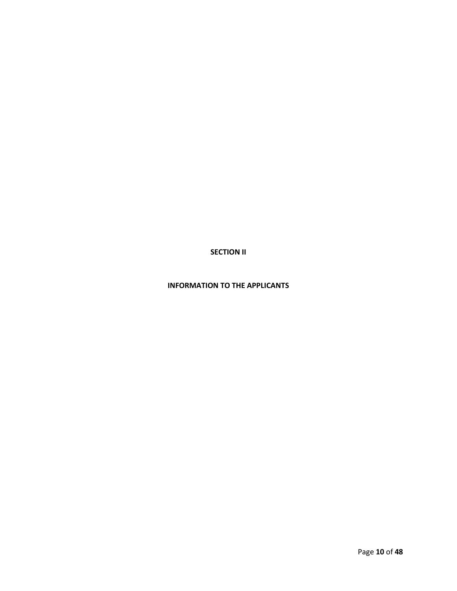**SECTION II**

## **INFORMATION TO THE APPLICANTS**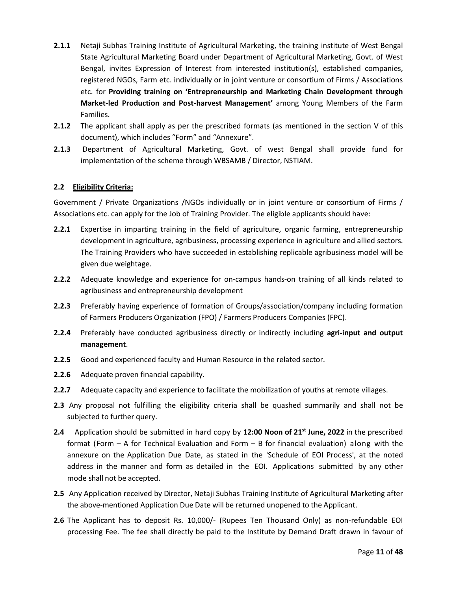- **2.1.1** Netaji Subhas Training Institute of Agricultural Marketing, the training institute of West Bengal State Agricultural Marketing Board under Department of Agricultural Marketing, Govt. of West Bengal, invites Expression of Interest from interested institution(s), established companies, registered NGOs, Farm etc. individually or in joint venture or consortium of Firms / Associations etc. for **Providing training on 'Entrepreneurship and Marketing Chain Development through Market-led Production and Post-harvest Management'** among Young Members of the Farm Families.
- **2.1.2** The applicant shall apply as per the prescribed formats (as mentioned in the section V of this document), which includes "Form" and "Annexure".
- **2.1.3** Department of Agricultural Marketing, Govt. of west Bengal shall provide fund for implementation of the scheme through WBSAMB / Director, NSTIAM.

#### **2.2 Eligibility Criteria:**

Government / Private Organizations /NGOs individually or in joint venture or consortium of Firms / Associations etc. can apply for the Job of Training Provider. The eligible applicants should have:

- **2.2.1** Expertise in imparting training in the field of agriculture, organic farming, entrepreneurship development in agriculture, agribusiness, processing experience in agriculture and allied sectors. The Training Providers who have succeeded in establishing replicable agribusiness model will be given due weightage.
- **2.2.2** Adequate knowledge and experience for on-campus hands-on training of all kinds related to agribusiness and entrepreneurship development
- **2.2.3** Preferably having experience of formation of Groups/association/company including formation of Farmers Producers Organization (FPO) / Farmers Producers Companies (FPC).
- **2.2.4** Preferably have conducted agribusiness directly or indirectly including **agri-input and output management**.
- **2.2.5** Good and experienced faculty and Human Resource in the related sector.
- **2.2.6** Adequate proven financial capability.
- **2.2.7** Adequate capacity and experience to facilitate the mobilization of youths at remote villages.
- **2.3** Any proposal not fulfilling the eligibility criteria shall be quashed summarily and shall not be subjected to further query.
- **2.4** Application should be submitted in hard copy by **12:00 Noon of 21st June, 2022** in the prescribed format (Form – A for Technical Evaluation and Form – B for financial evaluation) along with the annexure on the Application Due Date, as stated in the 'Schedule of EOI Process', at the noted address in the manner and form as detailed in the EOI. Applications submitted by any other mode shall not be accepted.
- **2.5** Any Application received by Director, Netaji Subhas Training Institute of Agricultural Marketing after the above-mentioned Application Due Date will be returned unopened to the Applicant.
- **2.6** The Applicant has to deposit Rs. 10,000/- (Rupees Ten Thousand Only) as non-refundable EOI processing Fee. The fee shall directly be paid to the Institute by Demand Draft drawn in favour of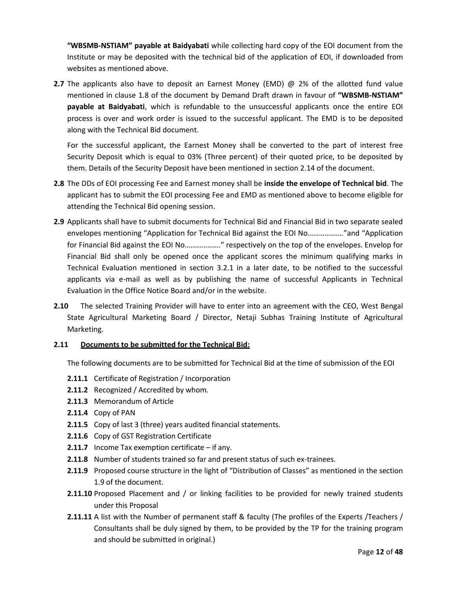**"WBSMB-NSTIAM" payable at Baidyabati** while collecting hard copy of the EOI document from the Institute or may be deposited with the technical bid of the application of EOI, if downloaded from websites as mentioned above.

**2.7** The applicants also have to deposit an Earnest Money (EMD) @ 2% of the allotted fund value mentioned in clause 1.8 of the document by Demand Draft drawn in favour of **"WBSMB-NSTIAM" payable at Baidyabati**, which is refundable to the unsuccessful applicants once the entire EOI process is over and work order is issued to the successful applicant. The EMD is to be deposited along with the Technical Bid document.

For the successful applicant, the Earnest Money shall be converted to the part of interest free Security Deposit which is equal to 03% (Three percent) of their quoted price, to be deposited by them. Details of the Security Deposit have been mentioned in section 2.14 of the document.

- **2.8** The DDs of EOI processing Fee and Earnest money shall be **inside the envelope of Technical bid**. The applicant has to submit the EOI processing Fee and EMD as mentioned above to become eligible for attending the Technical Bid opening session.
- **2.9** Applicants shall have to submit documents for Technical Bid and Financial Bid in two separate sealed envelopes mentioning "Application for Technical Bid against the EOI No………………."and "Application for Financial Bid against the EOI No………………." respectively on the top of the envelopes. Envelop for Financial Bid shall only be opened once the applicant scores the minimum qualifying marks in Technical Evaluation mentioned in section 3.2.1 in a later date, to be notified to the successful applicants via e-mail as well as by publishing the name of successful Applicants in Technical Evaluation in the Office Notice Board and/or in the website.
- **2.10** The selected Training Provider will have to enter into an agreement with the CEO, West Bengal State Agricultural Marketing Board / Director, Netaji Subhas Training Institute of Agricultural Marketing.

#### **2.11 Documents to be submitted for the Technical Bid:**

The following documents are to be submitted for Technical Bid at the time of submission of the EOI

- **2.11.1** Certificate of Registration / Incorporation
- **2.11.2** Recognized / Accredited by whom.
- **2.11.3** Memorandum of Article
- **2.11.4** Copy of PAN
- **2.11.5** Copy of last 3 (three) years audited financial statements.
- **2.11.6** Copy of GST Registration Certificate
- **2.11.7** Income Tax exemption certificate if any.
- **2.11.8** Number of students trained so far and present status of such ex-trainees.
- **2.11.9** Proposed course structure in the light of "Distribution of Classes" as mentioned in the section 1.9 of the document.
- **2.11.10** Proposed Placement and / or linking facilities to be provided for newly trained students under this Proposal
- **2.11.11** A list with the Number of permanent staff & faculty (The profiles of the Experts /Teachers / Consultants shall be duly signed by them, to be provided by the TP for the training program and should be submitted in original.)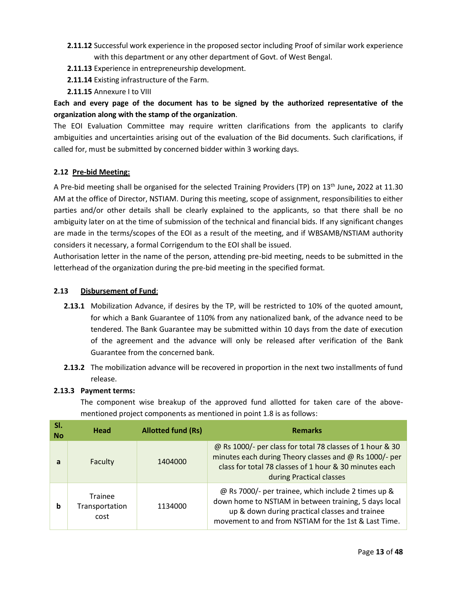- **2.11.12** Successful work experience in the proposed sector including Proof of similar work experience with this department or any other department of Govt. of West Bengal.
- **2.11.13** Experience in entrepreneurship development.
- **2.11.14** Existing infrastructure of the Farm.
- **2.11.15** Annexure I to VIII

## **Each and every page of the document has to be signed by the authorized representative of the organization along with the stamp of the organization**.

The EOI Evaluation Committee may require written clarifications from the applicants to clarify ambiguities and uncertainties arising out of the evaluation of the Bid documents. Such clarifications, if called for, must be submitted by concerned bidder within 3 working days.

## **2.12 Pre-bid Meeting:**

A Pre-bid meeting shall be organised for the selected Training Providers (TP) on 13th June**,** 2022 at 11.30 AM at the office of Director, NSTIAM. During this meeting, scope of assignment, responsibilities to either parties and/or other details shall be clearly explained to the applicants, so that there shall be no ambiguity later on at the time of submission of the technical and financial bids. If any significant changes are made in the terms/scopes of the EOI as a result of the meeting, and if WBSAMB/NSTIAM authority considers it necessary, a formal Corrigendum to the EOI shall be issued.

Authorisation letter in the name of the person, attending pre-bid meeting, needs to be submitted in the letterhead of the organization during the pre-bid meeting in the specified format.

## **2.13 Disbursement of Fund**:

- **2.13.1** Mobilization Advance, if desires by the TP, will be restricted to 10% of the quoted amount, for which a Bank Guarantee of 110% from any nationalized bank, of the advance need to be tendered. The Bank Guarantee may be submitted within 10 days from the date of execution of the agreement and the advance will only be released after verification of the Bank Guarantee from the concerned bank.
- **2.13.2** The mobilization advance will be recovered in proportion in the next two installments of fund release.

## **2.13.3 Payment terms:**

The component wise breakup of the approved fund allotted for taken care of the abovementioned project components as mentioned in point 1.8 is as follows:

| SI.<br><b>No</b> | Head                              | <b>Allotted fund (Rs)</b> | <b>Remarks</b>                                                                                                                                                                                                         |
|------------------|-----------------------------------|---------------------------|------------------------------------------------------------------------------------------------------------------------------------------------------------------------------------------------------------------------|
| a                | Faculty                           | 1404000                   | @ Rs 1000/- per class for total 78 classes of 1 hour & 30<br>minutes each during Theory classes and @ Rs 1000/- per<br>class for total 78 classes of 1 hour & 30 minutes each<br>during Practical classes              |
| b                | Trainee<br>Transportation<br>cost | 1134000                   | @ Rs 7000/- per trainee, which include 2 times up &<br>down home to NSTIAM in between training, 5 days local<br>up & down during practical classes and trainee<br>movement to and from NSTIAM for the 1st & Last Time. |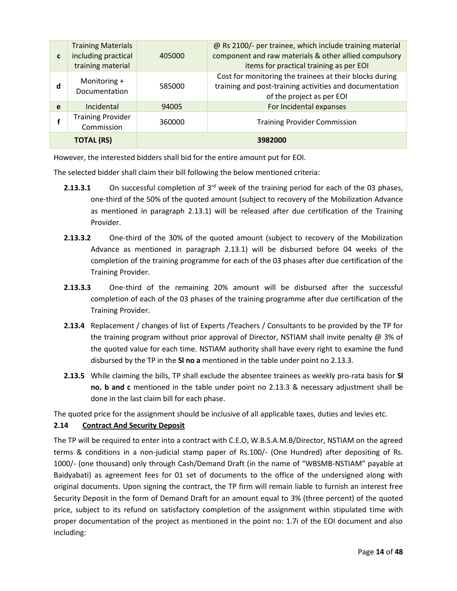| $\mathbf{C}$ | <b>Training Materials</b><br>including practical<br>training material | 405000 | @ Rs 2100/- per trainee, which include training material<br>component and raw materials & other allied compulsory<br>items for practical training as per EOI |
|--------------|-----------------------------------------------------------------------|--------|--------------------------------------------------------------------------------------------------------------------------------------------------------------|
| d            | Monitoring +<br>Documentation                                         | 585000 | Cost for monitoring the trainees at their blocks during<br>training and post-training activities and documentation<br>of the project as per EOI              |
| e            | Incidental                                                            | 94005  | For Incidental expanses                                                                                                                                      |
|              | <b>Training Provider</b><br>Commission                                | 360000 | <b>Training Provider Commission</b>                                                                                                                          |
|              | <b>TOTAL (RS)</b>                                                     |        | 3982000                                                                                                                                                      |

However, the interested bidders shall bid for the entire amount put for EOI.

The selected bidder shall claim their bill following the below mentioned criteria:

- **2.13.3.1** On successful completion of 3<sup>rd</sup> week of the training period for each of the 03 phases, one-third of the 50% of the quoted amount (subject to recovery of the Mobilization Advance as mentioned in paragraph 2.13.1) will be released after due certification of the Training Provider.
- **2.13.3.2** One-third of the 30% of the quoted amount (subject to recovery of the Mobilization Advance as mentioned in paragraph 2.13.1) will be disbursed before 04 weeks of the completion of the training programme for each of the 03 phases after due certification of the Training Provider.
- **2.13.3.3** One-third of the remaining 20% amount will be disbursed after the successful completion of each of the 03 phases of the training programme after due certification of the Training Provider.
- **2.13.4** Replacement / changes of list of Experts /Teachers / Consultants to be provided by the TP for the training program without prior approval of Director, NSTIAM shall invite penalty @ 3% of the quoted value for each time. NSTIAM authority shall have every right to examine the fund disbursed by the TP in the **Sl no a** mentioned in the table under point no 2.13.3.
- **2.13.5** While claiming the bills, TP shall exclude the absentee trainees as weekly pro-rata basis for **Sl no. b and c** mentioned in the table under point no 2.13.3 & necessary adjustment shall be done in the last claim bill for each phase.

The quoted price for the assignment should be inclusive of all applicable taxes, duties and levies etc.

## **2.14 Contract And Security Deposit**

The TP will be required to enter into a contract with C.E.O, W.B.S.A.M.B/Director, NSTIAM on the agreed terms & conditions in a non-judicial stamp paper of Rs.100/- (One Hundred) after depositing of Rs. 1000/- (one thousand) only through Cash/Demand Draft (in the name of "WBSMB-NSTIAM" payable at Baidyabati) as agreement fees for 01 set of documents to the office of the undersigned along with original documents. Upon signing the contract, the TP firm will remain liable to furnish an interest free Security Deposit in the form of Demand Draft for an amount equal to 3% (three percent) of the quoted price, subject to its refund on satisfactory completion of the assignment within stipulated time with proper documentation of the project as mentioned in the point no: 1.7i of the EOI document and also including: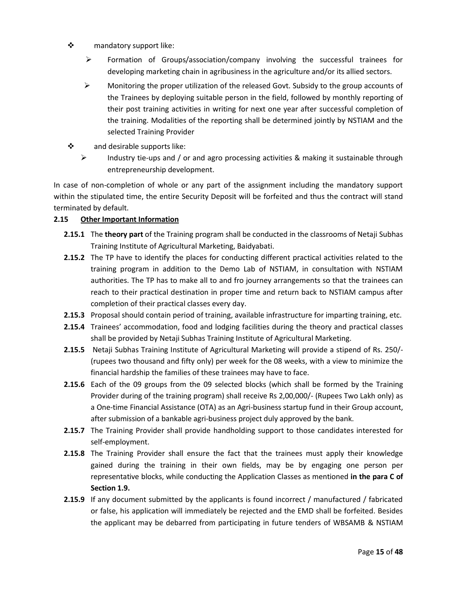- ❖ mandatory support like:
	- ➢ Formation of Groups/association/company involving the successful trainees for developing marketing chain in agribusiness in the agriculture and/or its allied sectors.
	- ➢ Monitoring the proper utilization of the released Govt. Subsidy to the group accounts of the Trainees by deploying suitable person in the field, followed by monthly reporting of their post training activities in writing for next one year after successful completion of the training. Modalities of the reporting shall be determined jointly by NSTIAM and the selected Training Provider
- ❖ and desirable supports like:
	- ➢ Industry tie-ups and / or and agro processing activities & making it sustainable through entrepreneurship development.

In case of non-completion of whole or any part of the assignment including the mandatory support within the stipulated time, the entire Security Deposit will be forfeited and thus the contract will stand terminated by default.

## **2.15 Other Important Information**

- **2.15.1** The **theory part** of the Training program shall be conducted in the classrooms of Netaji Subhas Training Institute of Agricultural Marketing, Baidyabati.
- **2.15.2** The TP have to identify the places for conducting different practical activities related to the training program in addition to the Demo Lab of NSTIAM, in consultation with NSTIAM authorities. The TP has to make all to and fro journey arrangements so that the trainees can reach to their practical destination in proper time and return back to NSTIAM campus after completion of their practical classes every day.
- **2.15.3** Proposal should contain period of training, available infrastructure for imparting training, etc.
- **2.15.4** Trainees' accommodation, food and lodging facilities during the theory and practical classes shall be provided by Netaji Subhas Training Institute of Agricultural Marketing.
- **2.15.5** Netaji Subhas Training Institute of Agricultural Marketing will provide a stipend of Rs. 250/- (rupees two thousand and fifty only) per week for the 08 weeks, with a view to minimize the financial hardship the families of these trainees may have to face.
- **2.15.6** Each of the 09 groups from the 09 selected blocks (which shall be formed by the Training Provider during of the training program) shall receive Rs 2,00,000/- (Rupees Two Lakh only) as a One-time Financial Assistance (OTA) as an Agri-business startup fund in their Group account, after submission of a bankable agri-business project duly approved by the bank.
- **2.15.7** The Training Provider shall provide handholding support to those candidates interested for self-employment.
- **2.15.8** The Training Provider shall ensure the fact that the trainees must apply their knowledge gained during the training in their own fields, may be by engaging one person per representative blocks, while conducting the Application Classes as mentioned **in the para C of Section 1.9.**
- **2.15.9** If any document submitted by the applicants is found incorrect / manufactured / fabricated or false, his application will immediately be rejected and the EMD shall be forfeited. Besides the applicant may be debarred from participating in future tenders of WBSAMB & NSTIAM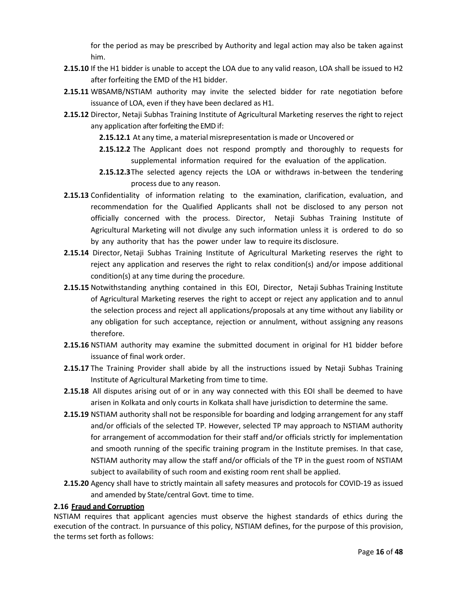for the period as may be prescribed by Authority and legal action may also be taken against him.

- **2.15.10** If the H1 bidder is unable to accept the LOA due to any valid reason, LOA shall be issued to H2 after forfeiting the EMD of the H1 bidder.
- **2.15.11** WBSAMB/NSTIAM authority may invite the selected bidder for rate negotiation before issuance of LOA, even if they have been declared as H1.
- **2.15.12** Director, Netaji Subhas Training Institute of Agricultural Marketing reserves the right to reject any application after forfeiting the EMD if:
	- **2.15.12.1** At any time, a material misrepresentation is made or Uncovered or
	- **2.15.12.2** The Applicant does not respond promptly and thoroughly to requests for supplemental information required for the evaluation of the application.
	- **2.15.12.3**The selected agency rejects the LOA or withdraws in-between the tendering process due to any reason.
- **2.15.13** Confidentiality of information relating to the examination, clarification, evaluation, and recommendation for the Qualified Applicants shall not be disclosed to any person not officially concerned with the process. Director, Netaji Subhas Training Institute of Agricultural Marketing will not divulge any such information unless it is ordered to do so by any authority that has the power under law to require its disclosure.
- **2.15.14** Director, Netaji Subhas Training Institute of Agricultural Marketing reserves the right to reject any application and reserves the right to relax condition(s) and/or impose additional condition(s) at any time during the procedure.
- **2.15.15** Notwithstanding anything contained in this EOI, Director, Netaji Subhas Training Institute of Agricultural Marketing reserves the right to accept or reject any application and to annul the selection process and reject all applications/proposals at any time without any liability or any obligation for such acceptance, rejection or annulment, without assigning any reasons therefore.
- **2.15.16** NSTIAM authority may examine the submitted document in original for H1 bidder before issuance of final work order.
- **2.15.17** The Training Provider shall abide by all the instructions issued by Netaji Subhas Training Institute of Agricultural Marketing from time to time.
- **2.15.18** All disputes arising out of or in any way connected with this EOI shall be deemed to have arisen in Kolkata and only courts in Kolkata shall have jurisdiction to determine the same.
- **2.15.19** NSTIAM authority shall not be responsible for boarding and lodging arrangement for any staff and/or officials of the selected TP. However, selected TP may approach to NSTIAM authority for arrangement of accommodation for their staff and/or officials strictly for implementation and smooth running of the specific training program in the Institute premises. In that case, NSTIAM authority may allow the staff and/or officials of the TP in the guest room of NSTIAM subject to availability of such room and existing room rent shall be applied.
- **2.15.20** Agency shall have to strictly maintain all safety measures and protocols for COVID-19 as issued and amended by State/central Govt. time to time.

## **2.16 Fraud and Corruption**

NSTIAM requires that applicant agencies must observe the highest standards of ethics during the execution of the contract. In pursuance of this policy, NSTIAM defines, for the purpose of this provision, the terms set forth as follows: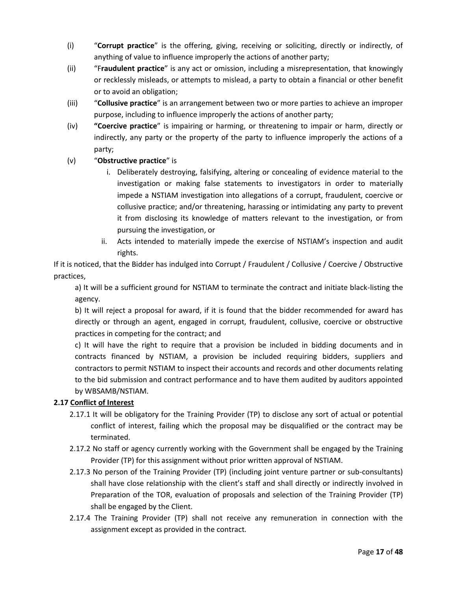- (i) "**Corrupt practice**" is the offering, giving, receiving or soliciting, directly or indirectly, of anything of value to influence improperly the actions of another party;
- (ii) "F**raudulent practice**" is any act or omission, including a misrepresentation, that knowingly or recklessly misleads, or attempts to mislead, a party to obtain a financial or other benefit or to avoid an obligation;
- (iii) "**Collusive practice**" is an arrangement between two or more parties to achieve an improper purpose, including to influence improperly the actions of another party;
- (iv) **"Coercive practice**" is impairing or harming, or threatening to impair or harm, directly or indirectly, any party or the property of the party to influence improperly the actions of a party;

## (v) "**Obstructive practice**" is

- i. Deliberately destroying, falsifying, altering or concealing of evidence material to the investigation or making false statements to investigators in order to materially impede a NSTIAM investigation into allegations of a corrupt, fraudulent, coercive or collusive practice; and/or threatening, harassing or intimidating any party to prevent it from disclosing its knowledge of matters relevant to the investigation, or from pursuing the investigation, or
- ii. Acts intended to materially impede the exercise of NSTIAM's inspection and audit rights.

If it is noticed, that the Bidder has indulged into Corrupt / Fraudulent / Collusive / Coercive / Obstructive practices,

a) It will be a sufficient ground for NSTIAM to terminate the contract and initiate black-listing the agency.

b) It will reject a proposal for award, if it is found that the bidder recommended for award has directly or through an agent, engaged in corrupt, fraudulent, collusive, coercive or obstructive practices in competing for the contract; and

c) It will have the right to require that a provision be included in bidding documents and in contracts financed by NSTIAM, a provision be included requiring bidders, suppliers and contractors to permit NSTIAM to inspect their accounts and records and other documents relating to the bid submission and contract performance and to have them audited by auditors appointed by WBSAMB/NSTIAM.

## **2.17 Conflict of Interest**

- 2.17.1 It will be obligatory for the Training Provider (TP) to disclose any sort of actual or potential conflict of interest, failing which the proposal may be disqualified or the contract may be terminated.
- 2.17.2 No staff or agency currently working with the Government shall be engaged by the Training Provider (TP) for this assignment without prior written approval of NSTIAM.
- 2.17.3 No person of the Training Provider (TP) (including joint venture partner or sub-consultants) shall have close relationship with the client's staff and shall directly or indirectly involved in Preparation of the TOR, evaluation of proposals and selection of the Training Provider (TP) shall be engaged by the Client.
- 2.17.4 The Training Provider (TP) shall not receive any remuneration in connection with the assignment except as provided in the contract.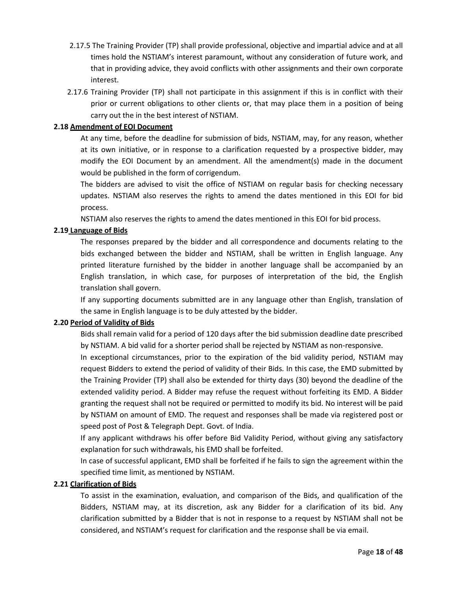- 2.17.5 The Training Provider (TP) shall provide professional, objective and impartial advice and at all times hold the NSTIAM's interest paramount, without any consideration of future work, and that in providing advice, they avoid conflicts with other assignments and their own corporate interest.
- 2.17.6 Training Provider (TP) shall not participate in this assignment if this is in conflict with their prior or current obligations to other clients or, that may place them in a position of being carry out the in the best interest of NSTIAM.

## **2.18 Amendment of EOI Document**

At any time, before the deadline for submission of bids, NSTIAM, may, for any reason, whether at its own initiative, or in response to a clarification requested by a prospective bidder, may modify the EOI Document by an amendment. All the amendment(s) made in the document would be published in the form of corrigendum.

The bidders are advised to visit the office of NSTIAM on regular basis for checking necessary updates. NSTIAM also reserves the rights to amend the dates mentioned in this EOI for bid process.

NSTIAM also reserves the rights to amend the dates mentioned in this EOI for bid process.

## **2.19 Language of Bids**

The responses prepared by the bidder and all correspondence and documents relating to the bids exchanged between the bidder and NSTIAM, shall be written in English language. Any printed literature furnished by the bidder in another language shall be accompanied by an English translation, in which case, for purposes of interpretation of the bid, the English translation shall govern.

If any supporting documents submitted are in any language other than English, translation of the same in English language is to be duly attested by the bidder.

## **2.20 Period of Validity of Bids**

Bids shall remain valid for a period of 120 days after the bid submission deadline date prescribed by NSTIAM. A bid valid for a shorter period shall be rejected by NSTIAM as non-responsive.

In exceptional circumstances, prior to the expiration of the bid validity period, NSTIAM may request Bidders to extend the period of validity of their Bids. In this case, the EMD submitted by the Training Provider (TP) shall also be extended for thirty days (30) beyond the deadline of the extended validity period. A Bidder may refuse the request without forfeiting its EMD. A Bidder granting the request shall not be required or permitted to modify its bid. No interest will be paid by NSTIAM on amount of EMD. The request and responses shall be made via registered post or speed post of Post & Telegraph Dept. Govt. of India.

If any applicant withdraws his offer before Bid Validity Period, without giving any satisfactory explanation for such withdrawals, his EMD shall be forfeited.

In case of successful applicant, EMD shall be forfeited if he fails to sign the agreement within the specified time limit, as mentioned by NSTIAM.

#### **2.21 Clarification of Bids**

To assist in the examination, evaluation, and comparison of the Bids, and qualification of the Bidders, NSTIAM may, at its discretion, ask any Bidder for a clarification of its bid. Any clarification submitted by a Bidder that is not in response to a request by NSTIAM shall not be considered, and NSTIAM's request for clarification and the response shall be via email.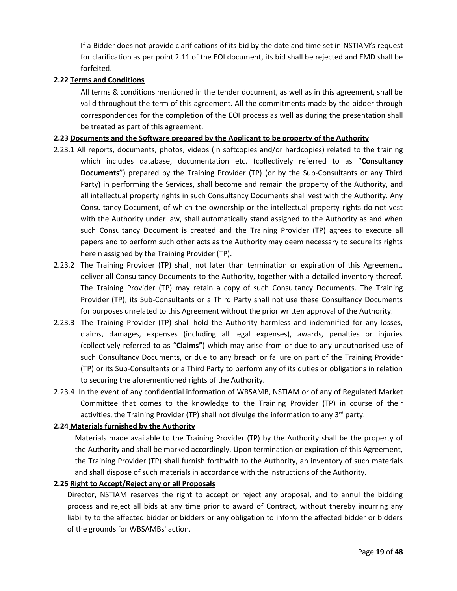If a Bidder does not provide clarifications of its bid by the date and time set in NSTIAM's request for clarification as per point 2.11 of the EOI document, its bid shall be rejected and EMD shall be forfeited.

#### **2.22 Terms and Conditions**

All terms & conditions mentioned in the tender document, as well as in this agreement, shall be valid throughout the term of this agreement. All the commitments made by the bidder through correspondences for the completion of the EOI process as well as during the presentation shall be treated as part of this agreement.

#### **2.23 Documents and the Software prepared by the Applicant to be property of the Authority**

- 2.23.1 All reports, documents, photos, videos (in softcopies and/or hardcopies) related to the training which includes database, documentation etc. (collectively referred to as "**Consultancy Documents**") prepared by the Training Provider (TP) (or by the Sub-Consultants or any Third Party) in performing the Services, shall become and remain the property of the Authority, and all intellectual property rights in such Consultancy Documents shall vest with the Authority. Any Consultancy Document, of which the ownership or the intellectual property rights do not vest with the Authority under law, shall automatically stand assigned to the Authority as and when such Consultancy Document is created and the Training Provider (TP) agrees to execute all papers and to perform such other acts as the Authority may deem necessary to secure its rights herein assigned by the Training Provider (TP).
- 2.23.2 The Training Provider (TP) shall, not later than termination or expiration of this Agreement, deliver all Consultancy Documents to the Authority, together with a detailed inventory thereof. The Training Provider (TP) may retain a copy of such Consultancy Documents. The Training Provider (TP), its Sub-Consultants or a Third Party shall not use these Consultancy Documents for purposes unrelated to this Agreement without the prior written approval of the Authority.
- 2.23.3 The Training Provider (TP) shall hold the Authority harmless and indemnified for any losses, claims, damages, expenses (including all legal expenses), awards, penalties or injuries (collectively referred to as "**Claims"**) which may arise from or due to any unauthorised use of such Consultancy Documents, or due to any breach or failure on part of the Training Provider (TP) or its Sub-Consultants or a Third Party to perform any of its duties or obligations in relation to securing the aforementioned rights of the Authority.
- 2.23.4 In the event of any confidential information of WBSAMB, NSTIAM or of any of Regulated Market Committee that comes to the knowledge to the Training Provider (TP) in course of their activities, the Training Provider (TP) shall not divulge the information to any  $3^{rd}$  party.

#### **2.24 Materials furnished by the Authority**

Materials made available to the Training Provider (TP) by the Authority shall be the property of the Authority and shall be marked accordingly. Upon termination or expiration of this Agreement, the Training Provider (TP) shall furnish forthwith to the Authority, an inventory of such materials and shall dispose of such materials in accordance with the instructions of the Authority.

#### **2.25 Right to Accept/Reject any or all Proposals**

Director, NSTIAM reserves the right to accept or reject any proposal, and to annul the bidding process and reject all bids at any time prior to award of Contract, without thereby incurring any liability to the affected bidder or bidders or any obligation to inform the affected bidder or bidders of the grounds for WBSAMBs' action.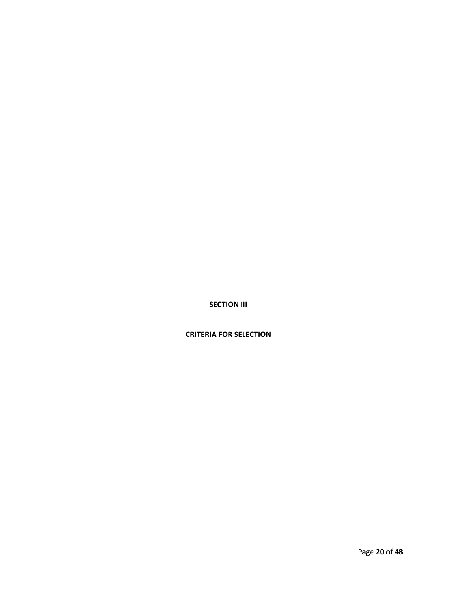**SECTION III**

**CRITERIA FOR SELECTION**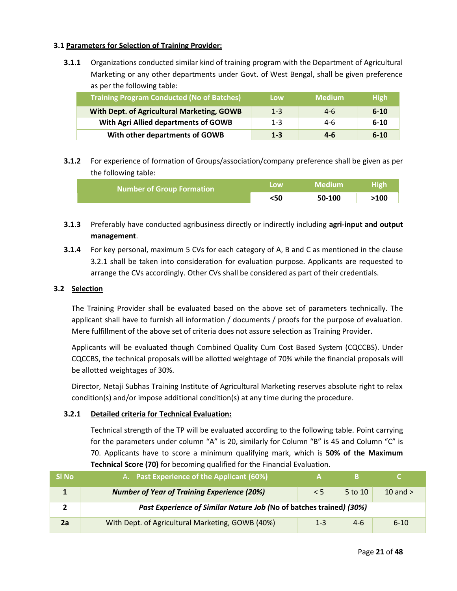## **3.1 Parameters for Selection of Training Provider:**

**3.1.1** Organizations conducted similar kind of training program with the Department of Agricultural Marketing or any other departments under Govt. of West Bengal, shall be given preference as per the following table:

| <b>Training Program Conducted (No of Batches)</b> | Low     | <b>Medium</b> | <b>High</b> |
|---------------------------------------------------|---------|---------------|-------------|
| With Dept. of Agricultural Marketing, GOWB        | $1 - 3$ | $4-6$         | $6 - 10$    |
| With Agri Allied departments of GOWB              | $1 - 3$ | 4-6           | $6-10$      |
| With other departments of GOWB                    | $1 - 3$ | $4-6$         | $6 - 10$    |

**3.1.2** For experience of formation of Groups/association/company preference shall be given as per the following table:

| <b>Number of Group Formation</b> | <b>LOW</b> | Medium | <b>High</b> |
|----------------------------------|------------|--------|-------------|
|                                  | <50        | 50-100 | >100        |

- **3.1.3** Preferably have conducted agribusiness directly or indirectly including **agri-input and output management**.
- **3.1.4** For key personal, maximum 5 CVs for each category of A, B and C as mentioned in the clause 3.2.1 shall be taken into consideration for evaluation purpose. Applicants are requested to arrange the CVs accordingly. Other CVs shall be considered as part of their credentials.

#### **3.2 Selection**

The Training Provider shall be evaluated based on the above set of parameters technically. The applicant shall have to furnish all information / documents / proofs for the purpose of evaluation. Mere fulfillment of the above set of criteria does not assure selection as Training Provider.

Applicants will be evaluated though Combined Quality Cum Cost Based System (CQCCBS). Under CQCCBS, the technical proposals will be allotted weightage of 70% while the financial proposals will be allotted weightages of 30%.

Director, Netaji Subhas Training Institute of Agricultural Marketing reserves absolute right to relax condition(s) and/or impose additional condition(s) at any time during the procedure.

#### **3.2.1 Detailed criteria for Technical Evaluation:**

Technical strength of the TP will be evaluated according to the following table. Point carrying for the parameters under column "A" is 20, similarly for Column "B" is 45 and Column "C" is 70. Applicants have to score a minimum qualifying mark, which is **50% of the Maximum Technical Score (70)** for becoming qualified for the Financial Evaluation.

| SI No | A. Past Experience of the Applicant (60%)                           |         |         |            |  |  |
|-------|---------------------------------------------------------------------|---------|---------|------------|--|--|
|       | <b>Number of Year of Training Experience (20%)</b>                  | < 5     | 5 to 10 | 10 and $>$ |  |  |
|       | Past Experience of Similar Nature Job (No of batches trained) (30%) |         |         |            |  |  |
| 2a    | With Dept. of Agricultural Marketing, GOWB (40%)                    | $1 - 3$ | $4-6$   | $6 - 10$   |  |  |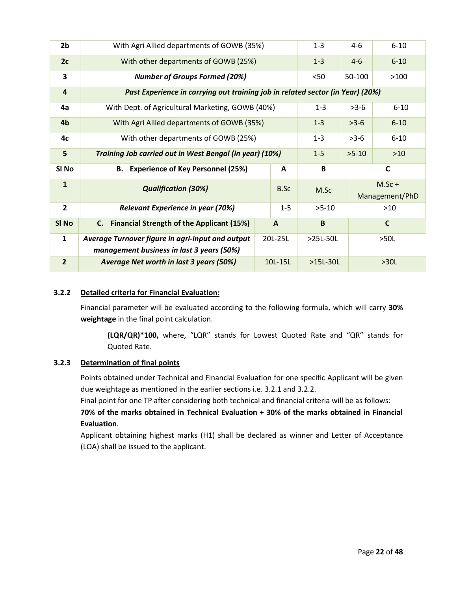| 2 <sub>b</sub>          | With Agri Allied departments of GOWB (35%)                                                    | $1 - 3$ | $4-6$        | $6 - 10$    |         |                            |
|-------------------------|-----------------------------------------------------------------------------------------------|---------|--------------|-------------|---------|----------------------------|
| 2c                      | With other departments of GOWB (25%)                                                          | $1 - 3$ | $4 - 6$      | $6 - 10$    |         |                            |
| 3                       | <b>Number of Groups Formed (20%)</b>                                                          |         |              | $50$        | 50-100  | >100                       |
| $\overline{\mathbf{4}}$ | Past Experience in carrying out training job in related sector (in Year) (20%)                |         |              |             |         |                            |
| 4a                      | With Dept. of Agricultural Marketing, GOWB (40%)                                              |         |              | $1 - 3$     | $>3-6$  | $6 - 10$                   |
| 4 <sub>b</sub>          | With Agri Allied departments of GOWB (35%)                                                    |         |              | $1 - 3$     | $>3-6$  | $6 - 10$                   |
| 4c                      | With other departments of GOWB (25%)                                                          |         |              | $1 - 3$     | $>3-6$  | $6 - 10$                   |
| 5                       | Training Job carried out in West Bengal (in year) (10%)                                       |         |              | $1 - 5$     | $>5-10$ | $>10$                      |
| SI <sub>No</sub>        | B. Experience of Key Personnel (25%)<br>A                                                     |         |              | $\mathbf B$ |         | $\mathsf{C}$               |
|                         |                                                                                               |         |              |             |         |                            |
| $\mathbf{1}$            | <b>Qualification (30%)</b>                                                                    |         | B.Sc         | M.Sc        |         | $M.Sc +$<br>Management/PhD |
| $\overline{2}$          | Relevant Experience in year (70%)                                                             |         | $1 - 5$      | $>5-10$     |         | $>10$                      |
| SI No                   | C. Financial Strength of the Applicant (15%)                                                  |         | $\mathbf{A}$ | B           |         | $\mathsf{C}$               |
| $\mathbf{1}$            | Average Turnover figure in agri-input and output<br>management business in last 3 years (50%) |         | 20L-25L      | >25L-50L    |         | >50L                       |

### **3.2.2 Detailed criteria for Financial Evaluation:**

Financial parameter will be evaluated according to the following formula, which will carry **30% weightage** in the final point calculation.

**(LQR/QR)\*100,** where, "LQR" stands for Lowest Quoted Rate and "QR" stands for Quoted Rate.

#### **3.2.3 Determination of final points**

Points obtained under Technical and Financial Evaluation for one specific Applicant will be given due weightage as mentioned in the earlier sections i.e. 3.2.1 and 3.2.2.

Final point for one TP after considering both technical and financial criteria will be as follows:

**70% of the marks obtained in Technical Evaluation + 30% of the marks obtained in Financial Evaluation**.

Applicant obtaining highest marks (H1) shall be declared as winner and Letter of Acceptance (LOA) shall be issued to the applicant.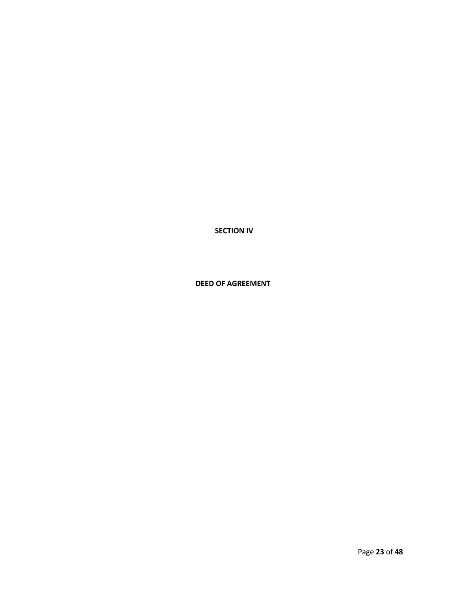**SECTION IV**

 **DEED OF AGREEMENT**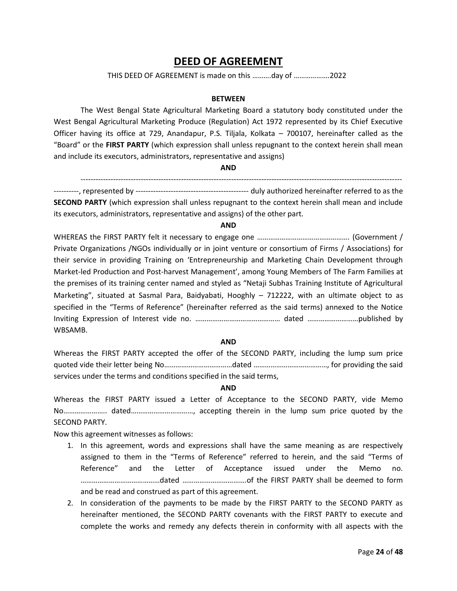## **DEED OF AGREEMENT**

#### THIS DEED OF AGREEMENT is made on this ……….day of ……………….2022

#### **BETWEEN**

The West Bengal State Agricultural Marketing Board a statutory body constituted under the West Bengal Agricultural Marketing Produce (Regulation) Act 1972 represented by its Chief Executive Officer having its office at 729, Anandapur, P.S. Tiljala, Kolkata – 700107, hereinafter called as the "Board" or the **FIRST PARTY** (which expression shall unless repugnant to the context herein shall mean and include its executors, administrators, representative and assigns)

#### **AND**

--------------------------------------------------------------------------------------------------------------------------------

----------, represented by --------------------------------------------- duly authorized hereinafter referred to as the **SECOND PARTY** (which expression shall unless repugnant to the context herein shall mean and include its executors, administrators, representative and assigns) of the other part.

#### **AND**

WHEREAS the FIRST PARTY felt it necessary to engage one ………………………………………………………………… (Government / Private Organizations /NGOs individually or in joint venture or consortium of Firms / Associations) for their service in providing Training on 'Entrepreneurship and Marketing Chain Development through Market-led Production and Post-harvest Management', among Young Members of The Farm Families at the premises of its training center named and styled as "Netaji Subhas Training Institute of Agricultural Marketing", situated at Sasmal Para, Baidyabati, Hooghly – 712222, with an ultimate object to as specified in the "Terms of Reference" (hereinafter referred as the said terms) annexed to the Notice Inviting Expression of Interest vide no. ……………………………………… dated ………………………published by WBSAMB.

#### **AND**

Whereas the FIRST PARTY accepted the offer of the SECOND PARTY, including the lump sum price quoted vide their letter being No………………………………dated …………………………………, for providing the said services under the terms and conditions specified in the said terms,

#### **AND**

Whereas the FIRST PARTY issued a Letter of Acceptance to the SECOND PARTY, vide Memo No………………….. dated……………………………, accepting therein in the lump sum price quoted by the SECOND PARTY.

Now this agreement witnesses as follows:

- 1. In this agreement, words and expressions shall have the same meaning as are respectively assigned to them in the "Terms of Reference" referred to herein, and the said "Terms of Reference" and the Letter of Acceptance issued under the Memo no. ……………………………………dated …………………………….of the FIRST PARTY shall be deemed to form and be read and construed as part of this agreement.
- 2. In consideration of the payments to be made by the FIRST PARTY to the SECOND PARTY as hereinafter mentioned, the SECOND PARTY covenants with the FIRST PARTY to execute and complete the works and remedy any defects therein in conformity with all aspects with the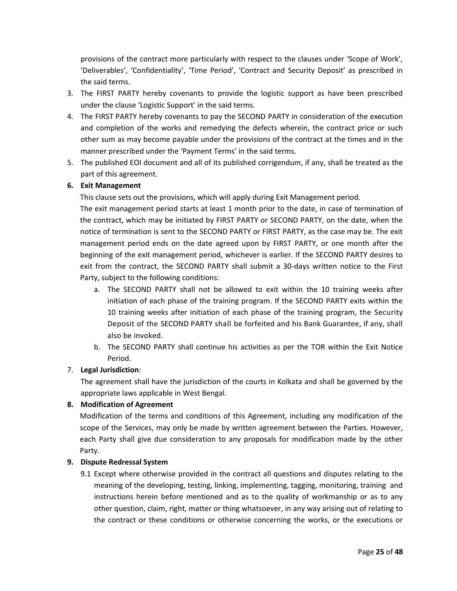provisions of the contract more particularly with respect to the clauses under 'Scope of Work', 'Deliverables', 'Confidentiality', 'Time Period', 'Contract and Security Deposit' as prescribed in the said terms.

- 3. The FIRST PARTY hereby covenants to provide the logistic support as have been prescribed under the clause 'Logistic Support' in the said terms.
- 4. The FIRST PARTY hereby covenants to pay the SECOND PARTY in consideration of the execution and completion of the works and remedying the defects wherein, the contract price or such other sum as may become payable under the provisions of the contract at the times and in the manner prescribed under the 'Payment Terms' in the said terms.
- 5. The published EOI document and all of its published corrigendum, if any, shall be treated as the part of this agreement.

## **6. Exit Management**

This clause sets out the provisions, which will apply during Exit Management period.

The exit management period starts at least 1 month prior to the date, in case of termination of the contract, which may be initiated by FIRST PARTY or SECOND PARTY, on the date, when the notice of termination is sent to the SECOND PARTY or FIRST PARTY, as the case may be. The exit management period ends on the date agreed upon by FIRST PARTY, or one month after the beginning of the exit management period, whichever is earlier. If the SECOND PARTY desires to exit from the contract, the SECOND PARTY shall submit a 30-days written notice to the First Party, subject to the following conditions:

- a. The SECOND PARTY shall not be allowed to exit within the 10 training weeks after initiation of each phase of the training program. If the SECOND PARTY exits within the 10 training weeks after initiation of each phase of the training program, the Security Deposit of the SECOND PARTY shall be forfeited and his Bank Guarantee, if any, shall also be invoked.
- b. The SECOND PARTY shall continue his activities as per the TOR within the Exit Notice Period.

## 7. **Legal Jurisdiction**:

The agreement shall have the jurisdiction of the courts in Kolkata and shall be governed by the appropriate laws applicable in West Bengal.

#### **8. Modification of Agreement**

Modification of the terms and conditions of this Agreement, including any modification of the scope of the Services, may only be made by written agreement between the Parties. However, each Party shall give due consideration to any proposals for modification made by the other Party.

#### **9. Dispute Redressal System**

9.1 Except where otherwise provided in the contract all questions and disputes relating to the meaning of the developing, testing, linking, implementing, tagging, monitoring, training and instructions herein before mentioned and as to the quality of workmanship or as to any other question, claim, right, matter or thing whatsoever, in any way arising out of relating to the contract or these conditions or otherwise concerning the works, or the executions or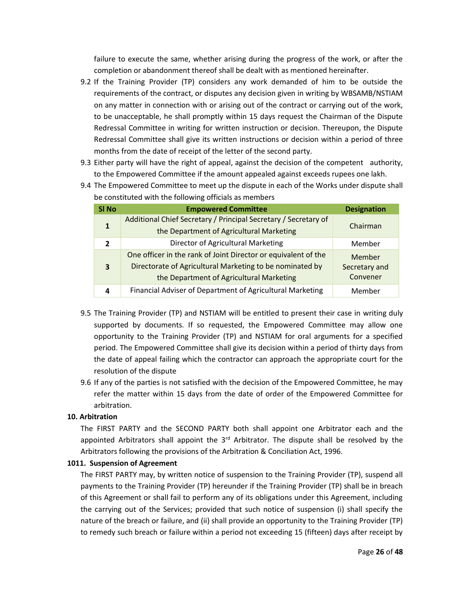failure to execute the same, whether arising during the progress of the work, or after the completion or abandonment thereof shall be dealt with as mentioned hereinafter.

- 9.2 If the Training Provider (TP) considers any work demanded of him to be outside the requirements of the contract, or disputes any decision given in writing by WBSAMB/NSTIAM on any matter in connection with or arising out of the contract or carrying out of the work, to be unacceptable, he shall promptly within 15 days request the Chairman of the Dispute Redressal Committee in writing for written instruction or decision. Thereupon, the Dispute Redressal Committee shall give its written instructions or decision within a period of three months from the date of receipt of the letter of the second party.
- 9.3 Either party will have the right of appeal, against the decision of the competent authority, to the Empowered Committee if the amount appealed against exceeds rupees one lakh.

| SI <sub>No</sub> | <b>Empowered Committee</b>                                      | <b>Designation</b> |
|------------------|-----------------------------------------------------------------|--------------------|
| 1                | Additional Chief Secretary / Principal Secretary / Secretary of | Chairman           |
|                  | the Department of Agricultural Marketing                        |                    |
| 2                | Director of Agricultural Marketing                              | Member             |
|                  | One officer in the rank of Joint Director or equivalent of the  | Member             |
| 3                | Directorate of Agricultural Marketing to be nominated by        | Secretary and      |
|                  | the Department of Agricultural Marketing                        | Convener           |
| 4                | Financial Adviser of Department of Agricultural Marketing       | Member             |

9.4 The Empowered Committee to meet up the dispute in each of the Works under dispute shall be constituted with the following officials as members

- 9.5 The Training Provider (TP) and NSTIAM will be entitled to present their case in writing duly supported by documents. If so requested, the Empowered Committee may allow one opportunity to the Training Provider (TP) and NSTIAM for oral arguments for a specified period. The Empowered Committee shall give its decision within a period of thirty days from the date of appeal failing which the contractor can approach the appropriate court for the resolution of the dispute
- 9.6 If any of the parties is not satisfied with the decision of the Empowered Committee, he may refer the matter within 15 days from the date of order of the Empowered Committee for arbitration.

#### **10. Arbitration**

The FIRST PARTY and the SECOND PARTY both shall appoint one Arbitrator each and the appointed Arbitrators shall appoint the  $3<sup>rd</sup>$  Arbitrator. The dispute shall be resolved by the Arbitrators following the provisions of the Arbitration & Conciliation Act, 1996.

#### **1011. Suspension of Agreement**

The FIRST PARTY may, by written notice of suspension to the Training Provider (TP), suspend all payments to the Training Provider (TP) hereunder if the Training Provider (TP) shall be in breach of this Agreement or shall fail to perform any of its obligations under this Agreement, including the carrying out of the Services; provided that such notice of suspension (i) shall specify the nature of the breach or failure, and (ii) shall provide an opportunity to the Training Provider (TP) to remedy such breach or failure within a period not exceeding 15 (fifteen) days after receipt by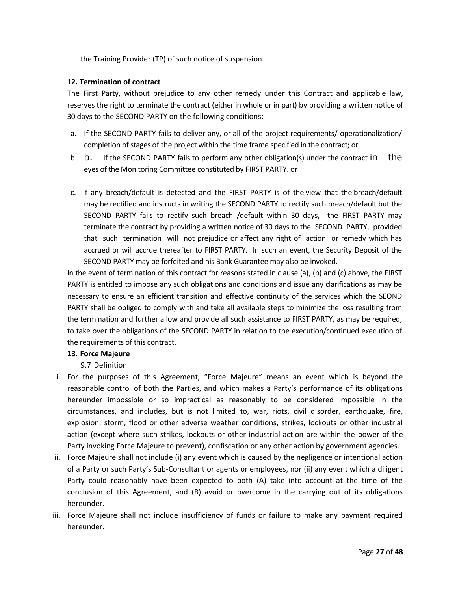the Training Provider (TP) of such notice of suspension.

### **12. Termination of contract**

The First Party, without prejudice to any other remedy under this Contract and applicable law, reserves the right to terminate the contract (either in whole or in part) by providing a written notice of 30 days to the SECOND PARTY on the following conditions:

- a. If the SECOND PARTY fails to deliver any, or all of the project requirements/ operationalization/ completion of stages of the project within the time frame specified in the contract; or
- b. b. If the SECOND PARTY fails to perform any other obligation(s) under the contract in the eyes of the Monitoring Committee constituted by FIRST PARTY. or
- c. If any breach/default is detected and the FIRST PARTY is of the view that the breach/default may be rectified and instructs in writing the SECOND PARTY to rectify such breach/default but the SECOND PARTY fails to rectify such breach /default within 30 days, the FIRST PARTY may terminate the contract by providing a written notice of 30 days to the SECOND PARTY, provided that such termination will not prejudice or affect any right of action or remedy which has accrued or will accrue thereafter to FIRST PARTY. In such an event, the Security Deposit of the SECOND PARTY may be forfeited and his Bank Guarantee may also be invoked.

In the event of termination of this contract for reasons stated in clause (a), (b) and (c) above, the FIRST PARTY is entitled to impose any such obligations and conditions and issue any clarifications as may be necessary to ensure an efficient transition and effective continuity of the services which the SEOND PARTY shall be obliged to comply with and take all available steps to minimize the loss resulting from the termination and further allow and provide all such assistance to FIRST PARTY, as may be required, to take over the obligations of the SECOND PARTY in relation to the execution/continued execution of the requirements of this contract.

#### **13. Force Majeure**

9.7 Definition

- i. For the purposes of this Agreement, "Force Majeure" means an event which is beyond the reasonable control of both the Parties, and which makes a Party's performance of its obligations hereunder impossible or so impractical as reasonably to be considered impossible in the circumstances, and includes, but is not limited to, war, riots, civil disorder, earthquake, fire, explosion, storm, flood or other adverse weather conditions, strikes, lockouts or other industrial action (except where such strikes, lockouts or other industrial action are within the power of the Party invoking Force Majeure to prevent), confiscation or any other action by government agencies.
- ii. Force Majeure shall not include (i) any event which is caused by the negligence or intentional action of a Party or such Party's Sub-Consultant or agents or employees, nor (ii) any event which a diligent Party could reasonably have been expected to both (A) take into account at the time of the conclusion of this Agreement, and (B) avoid or overcome in the carrying out of its obligations hereunder.
- iii. Force Majeure shall not include insufficiency of funds or failure to make any payment required hereunder.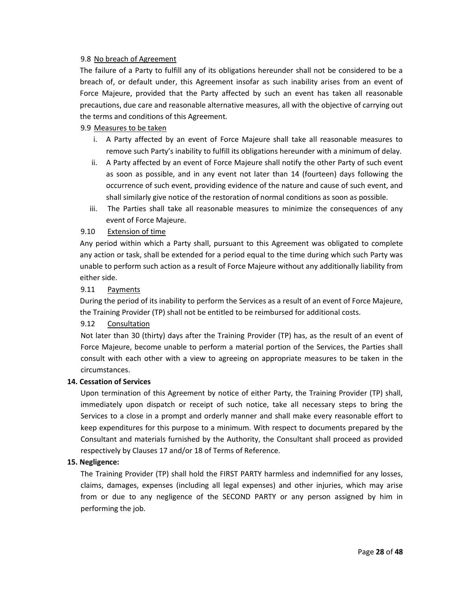#### 9.8 No breach of Agreement

The failure of a Party to fulfill any of its obligations hereunder shall not be considered to be a breach of, or default under, this Agreement insofar as such inability arises from an event of Force Majeure, provided that the Party affected by such an event has taken all reasonable precautions, due care and reasonable alternative measures, all with the objective of carrying out the terms and conditions of this Agreement.

#### 9.9 Measures to be taken

- i. A Party affected by an event of Force Majeure shall take all reasonable measures to remove such Party's inability to fulfill its obligations hereunder with a minimum of delay.
- ii. A Party affected by an event of Force Majeure shall notify the other Party of such event as soon as possible, and in any event not later than 14 (fourteen) days following the occurrence of such event, providing evidence of the nature and cause of such event, and shall similarly give notice of the restoration of normal conditions as soon as possible.
- iii. The Parties shall take all reasonable measures to minimize the consequences of any event of Force Majeure.

#### 9.10 Extension of time

Any period within which a Party shall, pursuant to this Agreement was obligated to complete any action or task, shall be extended for a period equal to the time during which such Party was unable to perform such action as a result of Force Majeure without any additionally liability from either side.

#### 9.11 Payments

During the period of its inability to perform the Services as a result of an event of Force Majeure, the Training Provider (TP) shall not be entitled to be reimbursed for additional costs.

#### 9.12 Consultation

Not later than 30 (thirty) days after the Training Provider (TP) has, as the result of an event of Force Majeure, become unable to perform a material portion of the Services, the Parties shall consult with each other with a view to agreeing on appropriate measures to be taken in the circumstances.

#### **14. Cessation of Services**

Upon termination of this Agreement by notice of either Party, the Training Provider (TP) shall, immediately upon dispatch or receipt of such notice, take all necessary steps to bring the Services to a close in a prompt and orderly manner and shall make every reasonable effort to keep expenditures for this purpose to a minimum. With respect to documents prepared by the Consultant and materials furnished by the Authority, the Consultant shall proceed as provided respectively by Clauses 17 and/or 18 of Terms of Reference.

#### **15. Negligence:**

The Training Provider (TP) shall hold the FIRST PARTY harmless and indemnified for any losses, claims, damages, expenses (including all legal expenses) and other injuries, which may arise from or due to any negligence of the SECOND PARTY or any person assigned by him in performing the job.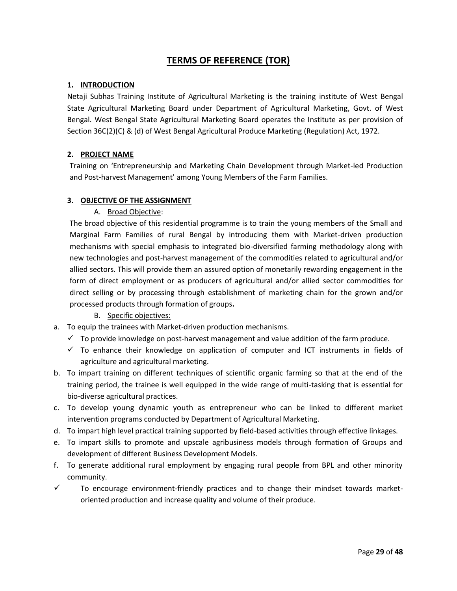## **TERMS OF REFERENCE (TOR)**

## **1. INTRODUCTION**

Netaji Subhas Training Institute of Agricultural Marketing is the training institute of West Bengal State Agricultural Marketing Board under Department of Agricultural Marketing, Govt. of West Bengal. West Bengal State Agricultural Marketing Board operates the Institute as per provision of Section 36C(2)(C) & (d) of West Bengal Agricultural Produce Marketing (Regulation) Act, 1972.

## **2. PROJECT NAME**

Training on 'Entrepreneurship and Marketing Chain Development through Market-led Production and Post-harvest Management' among Young Members of the Farm Families.

## **3. OBJECTIVE OF THE ASSIGNMENT**

A. Broad Objective:

The broad objective of this residential programme is to train the young members of the Small and Marginal Farm Families of rural Bengal by introducing them with Market-driven production mechanisms with special emphasis to integrated bio-diversified farming methodology along with new technologies and post-harvest management of the commodities related to agricultural and/or allied sectors. This will provide them an assured option of monetarily rewarding engagement in the form of direct employment or as producers of agricultural and/or allied sector commodities for direct selling or by processing through establishment of marketing chain for the grown and/or processed products through formation of groups**.**

- B. Specific objectives:
- a. To equip the trainees with Market-driven production mechanisms.
	- $\checkmark$  To provide knowledge on post-harvest management and value addition of the farm produce.
	- $\checkmark$  To enhance their knowledge on application of computer and ICT instruments in fields of agriculture and agricultural marketing.
- b. To impart training on different techniques of scientific organic farming so that at the end of the training period, the trainee is well equipped in the wide range of multi-tasking that is essential for bio-diverse agricultural practices.
- c. To develop young dynamic youth as entrepreneur who can be linked to different market intervention programs conducted by Department of Agricultural Marketing.
- d. To impart high level practical training supported by field-based activities through effective linkages.
- e. To impart skills to promote and upscale agribusiness models through formation of Groups and development of different Business Development Models.
- f. To generate additional rural employment by engaging rural people from BPL and other minority community.
- $\checkmark$  To encourage environment-friendly practices and to change their mindset towards marketoriented production and increase quality and volume of their produce.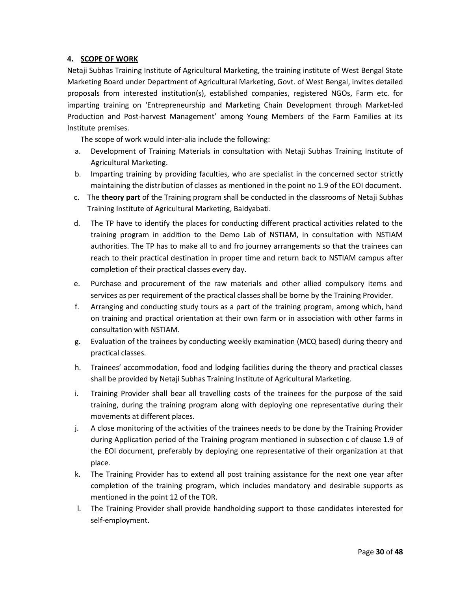## **4. SCOPE OF WORK**

Netaji Subhas Training Institute of Agricultural Marketing, the training institute of West Bengal State Marketing Board under Department of Agricultural Marketing, Govt. of West Bengal, invites detailed proposals from interested institution(s), established companies, registered NGOs, Farm etc. for imparting training on 'Entrepreneurship and Marketing Chain Development through Market-led Production and Post-harvest Management' among Young Members of the Farm Families at its Institute premises.

The scope of work would inter-alia include the following:

- a. Development of Training Materials in consultation with Netaji Subhas Training Institute of Agricultural Marketing.
- b. Imparting training by providing faculties, who are specialist in the concerned sector strictly maintaining the distribution of classes as mentioned in the point no 1.9 of the EOI document.
- c. The **theory part** of the Training program shall be conducted in the classrooms of Netaji Subhas Training Institute of Agricultural Marketing, Baidyabati.
- d. The TP have to identify the places for conducting different practical activities related to the training program in addition to the Demo Lab of NSTIAM, in consultation with NSTIAM authorities. The TP has to make all to and fro journey arrangements so that the trainees can reach to their practical destination in proper time and return back to NSTIAM campus after completion of their practical classes every day.
- e. Purchase and procurement of the raw materials and other allied compulsory items and services as per requirement of the practical classes shall be borne by the Training Provider.
- f. Arranging and conducting study tours as a part of the training program, among which, hand on training and practical orientation at their own farm or in association with other farms in consultation with NSTIAM.
- g. Evaluation of the trainees by conducting weekly examination (MCQ based) during theory and practical classes.
- h. Trainees' accommodation, food and lodging facilities during the theory and practical classes shall be provided by Netaji Subhas Training Institute of Agricultural Marketing.
- i. Training Provider shall bear all travelling costs of the trainees for the purpose of the said training, during the training program along with deploying one representative during their movements at different places.
- j. A close monitoring of the activities of the trainees needs to be done by the Training Provider during Application period of the Training program mentioned in subsection c of clause 1.9 of the EOI document, preferably by deploying one representative of their organization at that place.
- k. The Training Provider has to extend all post training assistance for the next one year after completion of the training program, which includes mandatory and desirable supports as mentioned in the point 12 of the TOR.
- l. The Training Provider shall provide handholding support to those candidates interested for self-employment.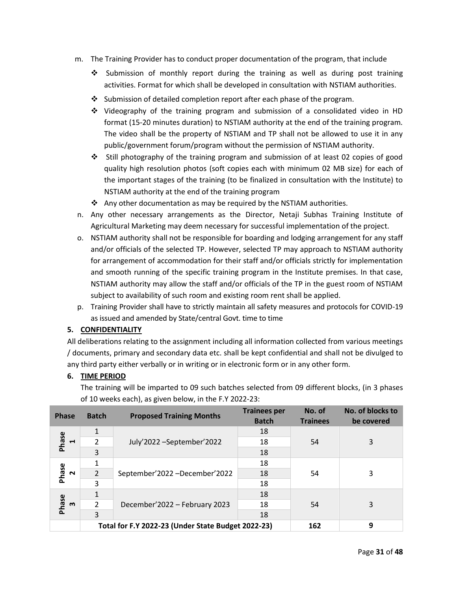- m. The Training Provider has to conduct proper documentation of the program, that include
	- ❖ Submission of monthly report during the training as well as during post training activities. Format for which shall be developed in consultation with NSTIAM authorities.
	- ❖ Submission of detailed completion report after each phase of the program.
	- ❖ Videography of the training program and submission of a consolidated video in HD format (15-20 minutes duration) to NSTIAM authority at the end of the training program. The video shall be the property of NSTIAM and TP shall not be allowed to use it in any public/government forum/program without the permission of NSTIAM authority.
	- ❖ Still photography of the training program and submission of at least 02 copies of good quality high resolution photos (soft copies each with minimum 02 MB size) for each of the important stages of the training (to be finalized in consultation with the Institute) to NSTIAM authority at the end of the training program
	- ❖ Any other documentation as may be required by the NSTIAM authorities.
- n. Any other necessary arrangements as the Director, Netaji Subhas Training Institute of Agricultural Marketing may deem necessary for successful implementation of the project.
- o. NSTIAM authority shall not be responsible for boarding and lodging arrangement for any staff and/or officials of the selected TP. However, selected TP may approach to NSTIAM authority for arrangement of accommodation for their staff and/or officials strictly for implementation and smooth running of the specific training program in the Institute premises. In that case, NSTIAM authority may allow the staff and/or officials of the TP in the guest room of NSTIAM subject to availability of such room and existing room rent shall be applied.
- p. Training Provider shall have to strictly maintain all safety measures and protocols for COVID-19 as issued and amended by State/central Govt. time to time

#### **5. CONFIDENTIALITY**

All deliberations relating to the assignment including all information collected from various meetings / documents, primary and secondary data etc. shall be kept confidential and shall not be divulged to any third party either verbally or in writing or in electronic form or in any other form.

#### **6. TIME PERIOD**

The training will be imparted to 09 such batches selected from 09 different blocks, (in 3 phases of 10 weeks each), as given below, in the F.Y 2022-23:

| <b>Phase</b>            | <b>Batch</b>   | <b>Proposed Training Months</b>                    | <b>Trainees per</b><br><b>Batch</b> | No. of<br><b>Trainees</b> | No. of blocks to<br>be covered |
|-------------------------|----------------|----------------------------------------------------|-------------------------------------|---------------------------|--------------------------------|
|                         |                |                                                    | 18                                  |                           |                                |
| Phase<br>$\blacksquare$ | 2              | July'2022 - September' 2022                        | 18                                  | 54                        | 3                              |
|                         | 3              |                                                    | 18                                  |                           |                                |
|                         |                | September'2022 -December'2022                      | 18                                  |                           |                                |
| Phase<br>$\sim$         | $\overline{2}$ |                                                    | 18                                  | 54                        | 3                              |
|                         | 3              |                                                    | 18                                  |                           |                                |
|                         |                |                                                    | 18                                  |                           |                                |
| Phase<br>$\mathbf{m}$   | $\mathcal{P}$  | December'2022 - February 2023                      | 18                                  | 54                        | 3                              |
|                         | 3              |                                                    | 18                                  |                           |                                |
|                         |                | Total for F.Y 2022-23 (Under State Budget 2022-23) |                                     | 162                       | 9                              |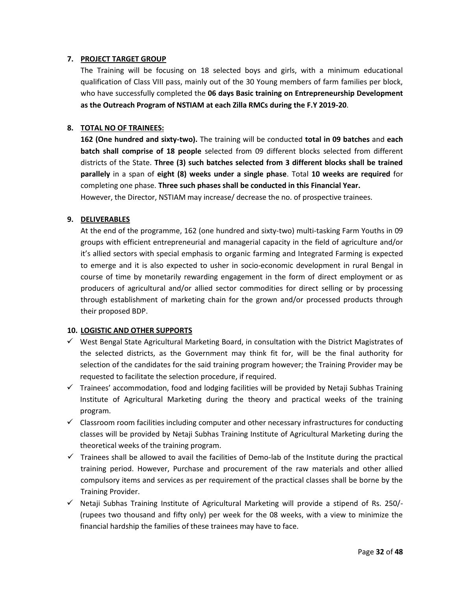#### **7. PROJECT TARGET GROUP**

The Training will be focusing on 18 selected boys and girls, with a minimum educational qualification of Class VIII pass, mainly out of the 30 Young members of farm families per block, who have successfully completed the **06 days Basic training on Entrepreneurship Development as the Outreach Program of NSTIAM at each Zilla RMCs during the F.Y 2019-20**.

## **8. TOTAL NO OF TRAINEES:**

**162 (One hundred and sixty-two).** The training will be conducted **total in 09 batches** and **each batch shall comprise of 18 people** selected from 09 different blocks selected from different districts of the State. **Three (3) such batches selected from 3 different blocks shall be trained parallely** in a span of **eight (8) weeks under a single phase**. Total **10 weeks are required** for completing one phase. **Three such phases shall be conducted in this Financial Year.**

However, the Director, NSTIAM may increase/ decrease the no. of prospective trainees.

#### **9. DELIVERABLES**

At the end of the programme, 162 (one hundred and sixty-two) multi-tasking Farm Youths in 09 groups with efficient entrepreneurial and managerial capacity in the field of agriculture and/or it's allied sectors with special emphasis to organic farming and Integrated Farming is expected to emerge and it is also expected to usher in socio-economic development in rural Bengal in course of time by monetarily rewarding engagement in the form of direct employment or as producers of agricultural and/or allied sector commodities for direct selling or by processing through establishment of marketing chain for the grown and/or processed products through their proposed BDP.

#### **10. LOGISTIC AND OTHER SUPPORTS**

- $\checkmark$  West Bengal State Agricultural Marketing Board, in consultation with the District Magistrates of the selected districts, as the Government may think fit for, will be the final authority for selection of the candidates for the said training program however; the Training Provider may be requested to facilitate the selection procedure, if required.
- $\checkmark$  Trainees' accommodation, food and lodging facilities will be provided by Netaji Subhas Training Institute of Agricultural Marketing during the theory and practical weeks of the training program.
- $\checkmark$  Classroom room facilities including computer and other necessary infrastructures for conducting classes will be provided by Netaji Subhas Training Institute of Agricultural Marketing during the theoretical weeks of the training program.
- $\checkmark$  Trainees shall be allowed to avail the facilities of Demo-lab of the Institute during the practical training period. However, Purchase and procurement of the raw materials and other allied compulsory items and services as per requirement of the practical classes shall be borne by the Training Provider.
- ✓ Netaji Subhas Training Institute of Agricultural Marketing will provide a stipend of Rs. 250/- (rupees two thousand and fifty only) per week for the 08 weeks, with a view to minimize the financial hardship the families of these trainees may have to face.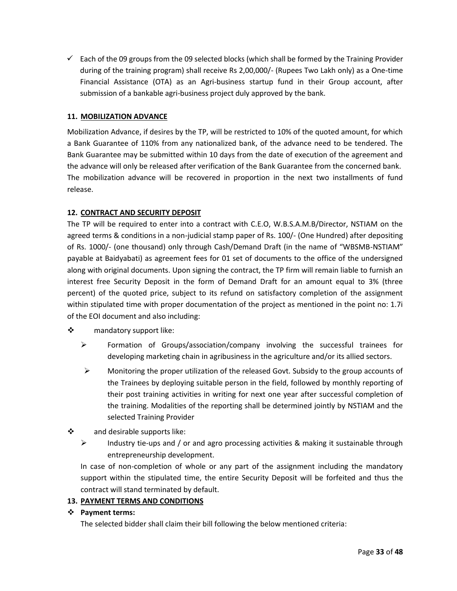$\checkmark$  Each of the 09 groups from the 09 selected blocks (which shall be formed by the Training Provider during of the training program) shall receive Rs 2,00,000/- (Rupees Two Lakh only) as a One-time Financial Assistance (OTA) as an Agri-business startup fund in their Group account, after submission of a bankable agri-business project duly approved by the bank.

## **11. MOBILIZATION ADVANCE**

Mobilization Advance, if desires by the TP, will be restricted to 10% of the quoted amount, for which a Bank Guarantee of 110% from any nationalized bank, of the advance need to be tendered. The Bank Guarantee may be submitted within 10 days from the date of execution of the agreement and the advance will only be released after verification of the Bank Guarantee from the concerned bank. The mobilization advance will be recovered in proportion in the next two installments of fund release.

## **12. CONTRACT AND SECURITY DEPOSIT**

The TP will be required to enter into a contract with C.E.O, W.B.S.A.M.B/Director, NSTIAM on the agreed terms & conditions in a non-judicial stamp paper of Rs. 100/- (One Hundred) after depositing of Rs. 1000/- (one thousand) only through Cash/Demand Draft (in the name of "WBSMB-NSTIAM" payable at Baidyabati) as agreement fees for 01 set of documents to the office of the undersigned along with original documents. Upon signing the contract, the TP firm will remain liable to furnish an interest free Security Deposit in the form of Demand Draft for an amount equal to 3% (three percent) of the quoted price, subject to its refund on satisfactory completion of the assignment within stipulated time with proper documentation of the project as mentioned in the point no: 1.7i of the EOI document and also including:

- ❖ mandatory support like:
	- ➢ Formation of Groups/association/company involving the successful trainees for developing marketing chain in agribusiness in the agriculture and/or its allied sectors.
	- $\triangleright$  Monitoring the proper utilization of the released Govt. Subsidy to the group accounts of the Trainees by deploying suitable person in the field, followed by monthly reporting of their post training activities in writing for next one year after successful completion of the training. Modalities of the reporting shall be determined jointly by NSTIAM and the selected Training Provider
- ❖ and desirable supports like:
	- ➢ Industry tie-ups and / or and agro processing activities & making it sustainable through entrepreneurship development.

In case of non-completion of whole or any part of the assignment including the mandatory support within the stipulated time, the entire Security Deposit will be forfeited and thus the contract will stand terminated by default.

#### **13. PAYMENT TERMS AND CONDITIONS**

#### ❖ **Payment terms:**

The selected bidder shall claim their bill following the below mentioned criteria: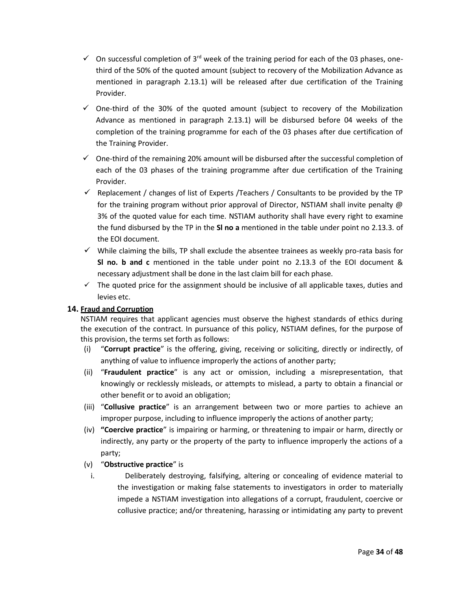- $\checkmark$  On successful completion of 3<sup>rd</sup> week of the training period for each of the 03 phases, onethird of the 50% of the quoted amount (subject to recovery of the Mobilization Advance as mentioned in paragraph 2.13.1) will be released after due certification of the Training Provider.
- $\checkmark$  One-third of the 30% of the quoted amount (subject to recovery of the Mobilization Advance as mentioned in paragraph 2.13.1) will be disbursed before 04 weeks of the completion of the training programme for each of the 03 phases after due certification of the Training Provider.
- $\checkmark$  One-third of the remaining 20% amount will be disbursed after the successful completion of each of the 03 phases of the training programme after due certification of the Training Provider.
- $\checkmark$  Replacement / changes of list of Experts / Teachers / Consultants to be provided by the TP for the training program without prior approval of Director, NSTIAM shall invite penalty @ 3% of the quoted value for each time. NSTIAM authority shall have every right to examine the fund disbursed by the TP in the **Sl no a** mentioned in the table under point no 2.13.3. of the EOI document.
- $\checkmark$  While claiming the bills, TP shall exclude the absentee trainees as weekly pro-rata basis for **Sl no. b and c** mentioned in the table under point no 2.13.3 of the EOI document & necessary adjustment shall be done in the last claim bill for each phase.
- $\checkmark$  The quoted price for the assignment should be inclusive of all applicable taxes, duties and levies etc.

## **14. Fraud and Corruption**

NSTIAM requires that applicant agencies must observe the highest standards of ethics during the execution of the contract. In pursuance of this policy, NSTIAM defines, for the purpose of this provision, the terms set forth as follows:

- (i) "**Corrupt practice**" is the offering, giving, receiving or soliciting, directly or indirectly, of anything of value to influence improperly the actions of another party;
- (ii) "**Fraudulent practice**" is any act or omission, including a misrepresentation, that knowingly or recklessly misleads, or attempts to mislead, a party to obtain a financial or other benefit or to avoid an obligation;
- (iii) "**Collusive practice**" is an arrangement between two or more parties to achieve an improper purpose, including to influence improperly the actions of another party;
- (iv) **"Coercive practice**" is impairing or harming, or threatening to impair or harm, directly or indirectly, any party or the property of the party to influence improperly the actions of a party;
- (v) "**Obstructive practice**" is
	- i. Deliberately destroying, falsifying, altering or concealing of evidence material to the investigation or making false statements to investigators in order to materially impede a NSTIAM investigation into allegations of a corrupt, fraudulent, coercive or collusive practice; and/or threatening, harassing or intimidating any party to prevent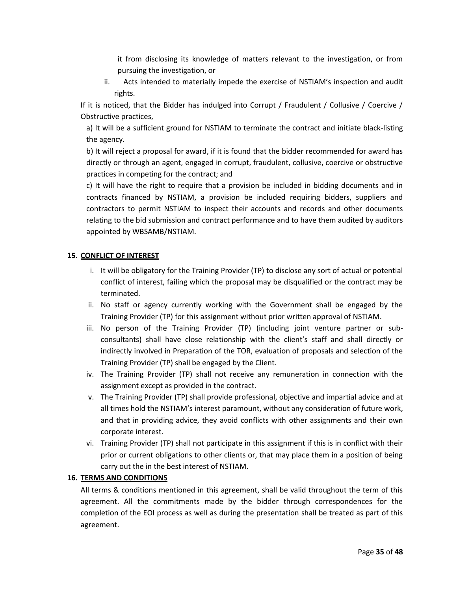it from disclosing its knowledge of matters relevant to the investigation, or from pursuing the investigation, or

ii. Acts intended to materially impede the exercise of NSTIAM's inspection and audit rights.

If it is noticed, that the Bidder has indulged into Corrupt / Fraudulent / Collusive / Coercive / Obstructive practices,

a) It will be a sufficient ground for NSTIAM to terminate the contract and initiate black-listing the agency.

b) It will reject a proposal for award, if it is found that the bidder recommended for award has directly or through an agent, engaged in corrupt, fraudulent, collusive, coercive or obstructive practices in competing for the contract; and

c) It will have the right to require that a provision be included in bidding documents and in contracts financed by NSTIAM, a provision be included requiring bidders, suppliers and contractors to permit NSTIAM to inspect their accounts and records and other documents relating to the bid submission and contract performance and to have them audited by auditors appointed by WBSAMB/NSTIAM.

## **15. CONFLICT OF INTEREST**

- i. It will be obligatory for the Training Provider (TP) to disclose any sort of actual or potential conflict of interest, failing which the proposal may be disqualified or the contract may be terminated.
- ii. No staff or agency currently working with the Government shall be engaged by the Training Provider (TP) for this assignment without prior written approval of NSTIAM.
- iii. No person of the Training Provider (TP) (including joint venture partner or subconsultants) shall have close relationship with the client's staff and shall directly or indirectly involved in Preparation of the TOR, evaluation of proposals and selection of the Training Provider (TP) shall be engaged by the Client.
- iv. The Training Provider (TP) shall not receive any remuneration in connection with the assignment except as provided in the contract.
- v. The Training Provider (TP) shall provide professional, objective and impartial advice and at all times hold the NSTIAM's interest paramount, without any consideration of future work, and that in providing advice, they avoid conflicts with other assignments and their own corporate interest.
- vi. Training Provider (TP) shall not participate in this assignment if this is in conflict with their prior or current obligations to other clients or, that may place them in a position of being carry out the in the best interest of NSTIAM.

#### **16. TERMS AND CONDITIONS**

All terms & conditions mentioned in this agreement, shall be valid throughout the term of this agreement. All the commitments made by the bidder through correspondences for the completion of the EOI process as well as during the presentation shall be treated as part of this agreement.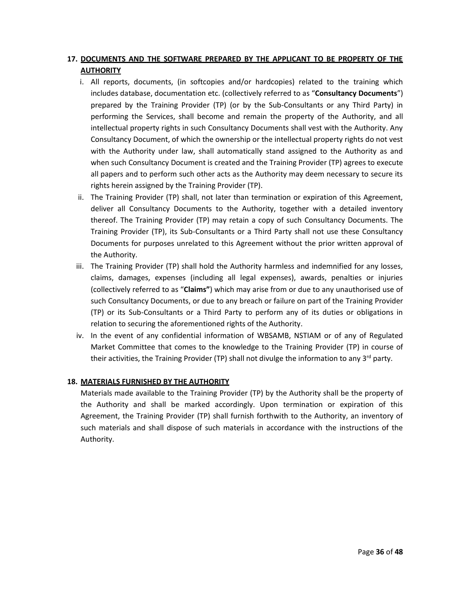## **17. DOCUMENTS AND THE SOFTWARE PREPARED BY THE APPLICANT TO BE PROPERTY OF THE AUTHORITY**

- i. All reports, documents, (in softcopies and/or hardcopies) related to the training which includes database, documentation etc. (collectively referred to as "**Consultancy Documents**") prepared by the Training Provider (TP) (or by the Sub-Consultants or any Third Party) in performing the Services, shall become and remain the property of the Authority, and all intellectual property rights in such Consultancy Documents shall vest with the Authority. Any Consultancy Document, of which the ownership or the intellectual property rights do not vest with the Authority under law, shall automatically stand assigned to the Authority as and when such Consultancy Document is created and the Training Provider (TP) agrees to execute all papers and to perform such other acts as the Authority may deem necessary to secure its rights herein assigned by the Training Provider (TP).
- ii. The Training Provider (TP) shall, not later than termination or expiration of this Agreement, deliver all Consultancy Documents to the Authority, together with a detailed inventory thereof. The Training Provider (TP) may retain a copy of such Consultancy Documents. The Training Provider (TP), its Sub-Consultants or a Third Party shall not use these Consultancy Documents for purposes unrelated to this Agreement without the prior written approval of the Authority.
- iii. The Training Provider (TP) shall hold the Authority harmless and indemnified for any losses, claims, damages, expenses (including all legal expenses), awards, penalties or injuries (collectively referred to as "**Claims"**) which may arise from or due to any unauthorised use of such Consultancy Documents, or due to any breach or failure on part of the Training Provider (TP) or its Sub-Consultants or a Third Party to perform any of its duties or obligations in relation to securing the aforementioned rights of the Authority.
- iv. In the event of any confidential information of WBSAMB, NSTIAM or of any of Regulated Market Committee that comes to the knowledge to the Training Provider (TP) in course of their activities, the Training Provider (TP) shall not divulge the information to any  $3^{rd}$  party.

## **18. MATERIALS FURNISHED BY THE AUTHORITY**

Materials made available to the Training Provider (TP) by the Authority shall be the property of the Authority and shall be marked accordingly. Upon termination or expiration of this Agreement, the Training Provider (TP) shall furnish forthwith to the Authority, an inventory of such materials and shall dispose of such materials in accordance with the instructions of the Authority.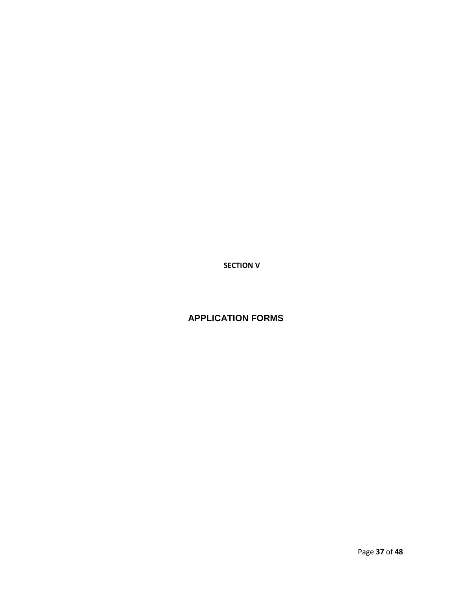**SECTION V**

## **APPLICATION FORMS**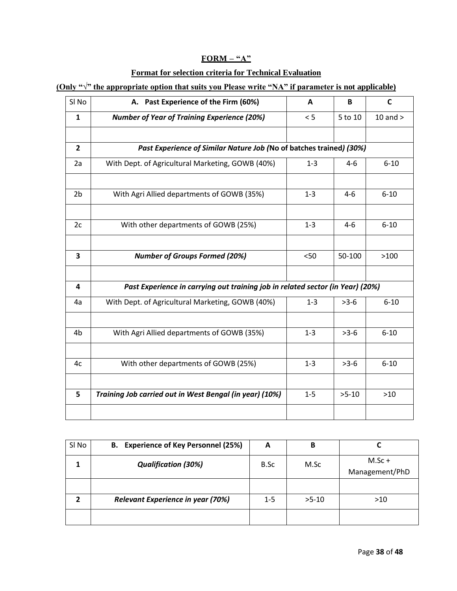## **FORM – "A"**

## **Format for selection criteria for Technical Evaluation**

## **(Only "√" the appropriate option that suits you Please write "NA" if parameter is not applicable)**

| SI <sub>No</sub>        | A. Past Experience of the Firm (60%)                                           | A       | B       | $\mathsf{C}$ |
|-------------------------|--------------------------------------------------------------------------------|---------|---------|--------------|
| 1                       | <b>Number of Year of Training Experience (20%)</b>                             | < 5     | 5 to 10 | 10 and $>$   |
|                         |                                                                                |         |         |              |
| $\overline{2}$          | Past Experience of Similar Nature Job (No of batches trained) (30%)            |         |         |              |
| 2a                      | With Dept. of Agricultural Marketing, GOWB (40%)                               | $1 - 3$ | $4 - 6$ | $6 - 10$     |
|                         |                                                                                |         |         |              |
| 2 <sub>b</sub>          | With Agri Allied departments of GOWB (35%)                                     | $1 - 3$ | $4-6$   | $6 - 10$     |
|                         |                                                                                |         |         |              |
| 2c                      | With other departments of GOWB (25%)                                           | $1 - 3$ | $4-6$   | $6 - 10$     |
|                         |                                                                                |         |         |              |
| $\overline{\mathbf{3}}$ | <b>Number of Groups Formed (20%)</b>                                           | < 50    | 50-100  | >100         |
|                         |                                                                                |         |         |              |
| 4                       | Past Experience in carrying out training job in related sector (in Year) (20%) |         |         |              |
| 4a                      | With Dept. of Agricultural Marketing, GOWB (40%)                               | $1 - 3$ | $>3-6$  | $6 - 10$     |
|                         |                                                                                |         |         |              |
| 4b                      | With Agri Allied departments of GOWB (35%)                                     | $1 - 3$ | $>3-6$  | $6 - 10$     |
|                         |                                                                                |         |         |              |
| 4c                      | With other departments of GOWB (25%)                                           | $1 - 3$ | $>3-6$  | $6 - 10$     |
|                         |                                                                                |         |         |              |
| 5                       | Training Job carried out in West Bengal (in year) (10%)                        | $1 - 5$ | $>5-10$ | $>10$        |
|                         |                                                                                |         |         |              |

| SI No | B. Experience of Key Personnel (25%)     | A       | в       |                            |
|-------|------------------------------------------|---------|---------|----------------------------|
|       | <b>Qualification (30%)</b>               | B.Sc    | M.Sc    | $M.Sc +$<br>Management/PhD |
|       |                                          |         |         |                            |
|       | <b>Relevant Experience in year (70%)</b> | $1 - 5$ | $>5-10$ | >10                        |
|       |                                          |         |         |                            |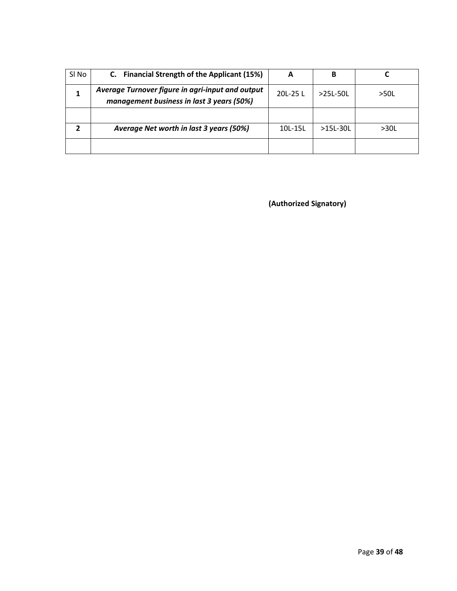| Sl No | C. Financial Strength of the Applicant (15%)                                                  | A        | В            |      |
|-------|-----------------------------------------------------------------------------------------------|----------|--------------|------|
|       | Average Turnover figure in agri-input and output<br>management business in last 3 years (50%) | 20L-25 L | $>251 - 501$ | >50L |
|       |                                                                                               |          |              |      |
|       | Average Net worth in last 3 years (50%)                                                       | 10L-15L  | $>15L-30L$   | >30L |
|       |                                                                                               |          |              |      |

**(Authorized Signatory)**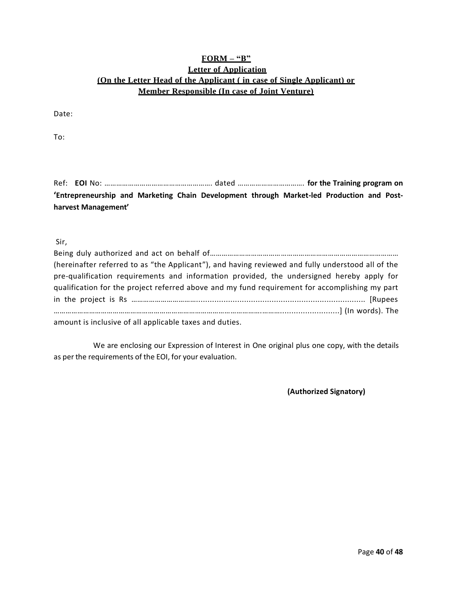## **FORM – "B" Letter of Application (On the Letter Head of the Applicant ( in case of Single Applicant) or Member Responsible (In case of Joint Venture)**

Date:

To:

Ref: **EOI** No: ………………………………………………. dated ……………………………. **for the Training program on 'Entrepreneurship and Marketing Chain Development through Market-led Production and Postharvest Management'**

#### Sir,

| (hereinafter referred to as "the Applicant"), and having reviewed and fully understood all of the |
|---------------------------------------------------------------------------------------------------|
| pre-qualification requirements and information provided, the undersigned hereby apply for         |
| qualification for the project referred above and my fund requirement for accomplishing my part    |
|                                                                                                   |
|                                                                                                   |
| amount is inclusive of all annlisable taxes and duties                                            |

amount is inclusive of all applicable taxes and duties.

 We are enclosing our Expression of Interest in One original plus one copy, with the details as per the requirements of the EOI, for your evaluation.

**(Authorized Signatory)**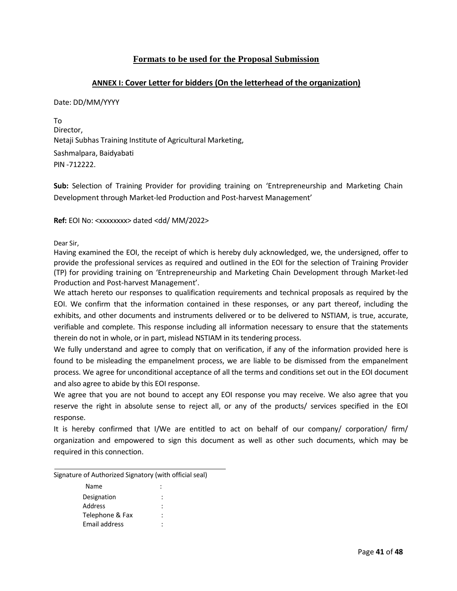## **Formats to be used for the Proposal Submission**

## **ANNEX I: Cover Letter for bidders (On the letterhead of the organization)**

#### Date: DD/MM/YYYY

To Director, Netaji Subhas Training Institute of Agricultural Marketing, Sashmalpara, Baidyabati PIN -712222.

**Sub:** Selection of Training Provider for providing training on 'Entrepreneurship and Marketing Chain Development through Market-led Production and Post-harvest Management'

**Ref:** EOI No: <xxxxxxxx> dated <dd/ MM/2022>

Dear Sir,

Having examined the EOI, the receipt of which is hereby duly acknowledged, we, the undersigned, offer to provide the professional services as required and outlined in the EOI for the selection of Training Provider (TP) for providing training on 'Entrepreneurship and Marketing Chain Development through Market-led Production and Post-harvest Management'.

We attach hereto our responses to qualification requirements and technical proposals as required by the EOI. We confirm that the information contained in these responses, or any part thereof, including the exhibits, and other documents and instruments delivered or to be delivered to NSTIAM, is true, accurate, verifiable and complete. This response including all information necessary to ensure that the statements therein do not in whole, or in part, mislead NSTIAM in its tendering process.

We fully understand and agree to comply that on verification, if any of the information provided here is found to be misleading the empanelment process, we are liable to be dismissed from the empanelment process. We agree for unconditional acceptance of all the terms and conditions set out in the EOI document and also agree to abide by this EOI response.

We agree that you are not bound to accept any EOI response you may receive. We also agree that you reserve the right in absolute sense to reject all, or any of the products/ services specified in the EOI response.

It is hereby confirmed that I/We are entitled to act on behalf of our company/ corporation/ firm/ organization and empowered to sign this document as well as other such documents, which may be required in this connection.

Signature of Authorized Signatory (with official seal)

| Name            | ٠<br>۰ |
|-----------------|--------|
| Designation     | ٠<br>٠ |
| Address         | ٠      |
| Telephone & Fax | ٠      |
| Email address   |        |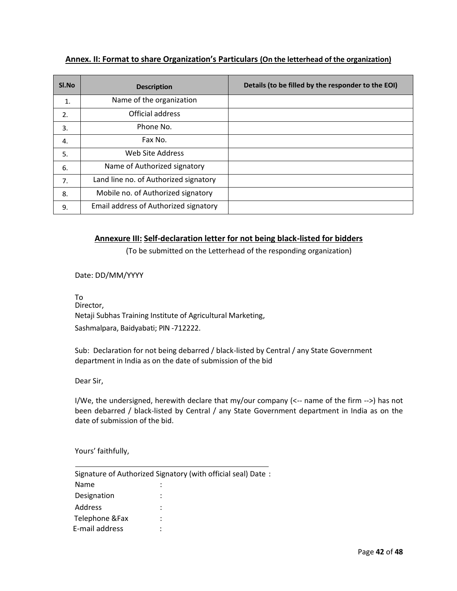## **Annex. II: Format to share Organization's Particulars (On the letterhead of the organization)**

| SI.No          | <b>Description</b>                    | Details (to be filled by the responder to the EOI) |
|----------------|---------------------------------------|----------------------------------------------------|
| $\mathbf{1}$ . | Name of the organization              |                                                    |
| 2.             | Official address                      |                                                    |
| 3.             | Phone No.                             |                                                    |
| 4.             | Fax No.                               |                                                    |
| 5.             | Web Site Address                      |                                                    |
| 6.             | Name of Authorized signatory          |                                                    |
| 7.             | Land line no. of Authorized signatory |                                                    |
| 8.             | Mobile no. of Authorized signatory    |                                                    |
| 9.             | Email address of Authorized signatory |                                                    |

## **Annexure III: Self-declaration letter for not being black-listed for bidders**

(To be submitted on the Letterhead of the responding organization)

Date: DD/MM/YYYY

To Director, Netaji Subhas Training Institute of Agricultural Marketing, Sashmalpara, Baidyabati; PIN -712222.

Sub: Declaration for not being debarred / black-listed by Central / any State Government department in India as on the date of submission of the bid

Dear Sir,

I/We, the undersigned, herewith declare that my/our company (<-- name of the firm -->) has not been debarred / black-listed by Central / any State Government department in India as on the date of submission of the bid.

Yours' faithfully,

|                 | Signature of Authorized Signatory (with official seal) Date: |
|-----------------|--------------------------------------------------------------|
| Name            |                                                              |
| Designation     | :                                                            |
| Address         | ٠                                                            |
| Telephone & Fax | $\ddot{\phantom{0}}$                                         |
| E-mail address  | ٠                                                            |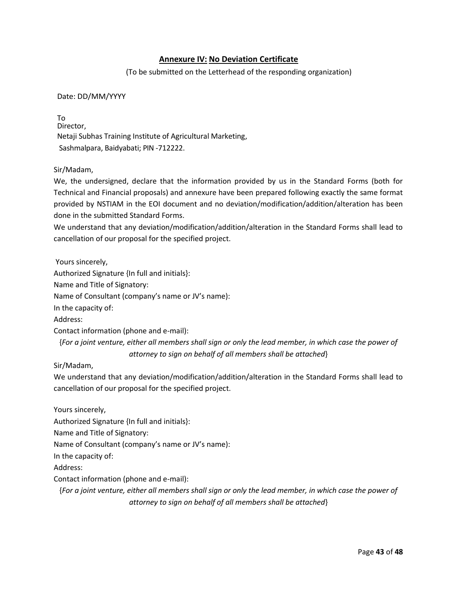## **Annexure IV: No Deviation Certificate**

(To be submitted on the Letterhead of the responding organization)

Date: DD/MM/YYYY

To Director, Netaji Subhas Training Institute of Agricultural Marketing, Sashmalpara, Baidyabati; PIN -712222.

#### Sir/Madam,

We, the undersigned, declare that the information provided by us in the Standard Forms (both for Technical and Financial proposals) and annexure have been prepared following exactly the same format provided by NSTIAM in the EOI document and no deviation/modification/addition/alteration has been done in the submitted Standard Forms.

We understand that any deviation/modification/addition/alteration in the Standard Forms shall lead to cancellation of our proposal for the specified project.

Yours sincerely,

Authorized Signature {In full and initials}:

Name and Title of Signatory:

Name of Consultant (company's name or JV's name):

In the capacity of:

Address:

Contact information (phone and e-mail):

{*For a joint venture, either all members shall sign or only the lead member, in which case the power of attorney to sign on behalf of all members shall be attached*}

#### Sir/Madam,

We understand that any deviation/modification/addition/alteration in the Standard Forms shall lead to cancellation of our proposal for the specified project.

Yours sincerely,

Authorized Signature {In full and initials}:

Name and Title of Signatory:

Name of Consultant (company's name or JV's name):

In the capacity of:

Address:

Contact information (phone and e-mail):

{*For a joint venture, either all members shall sign or only the lead member, in which case the power of attorney to sign on behalf of all members shall be attached*}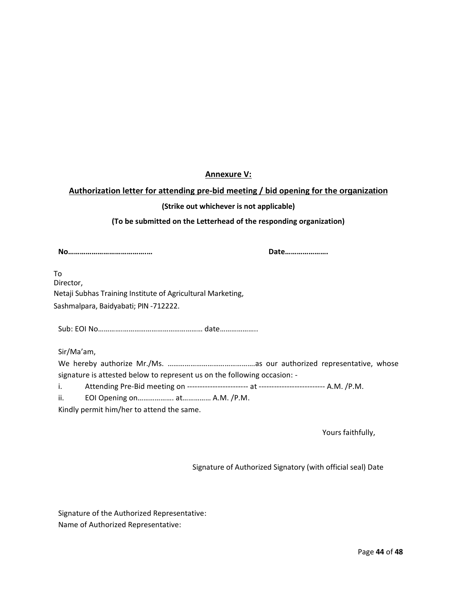## **Annexure V:**

## **Authorization letter for attending pre-bid meeting / bid opening for the organization**

#### **(Strike out whichever is not applicable)**

**(To be submitted on the Letterhead of the responding organization)**

**No………………………………….… Date………………….** 

To Director, Netaji Subhas Training Institute of Agricultural Marketing, Sashmalpara, Baidyabati; PIN -712222.

Sub: EOI No………….…………………………………… date………………..

Sir/Ma'am,

We hereby authorize Mr./Ms. ……………………………………….as our authorized representative, whose signature is attested below to represent us on the following occasion: -

i. Attending Pre-Bid meeting on ------------------------ at -------------------------- A.M. /P.M.

ii. EOI Opening on………………. at…………… A.M. /P.M.

Kindly permit him/her to attend the same.

Yours faithfully,

Signature of Authorized Signatory (with official seal) Date

Signature of the Authorized Representative: Name of Authorized Representative: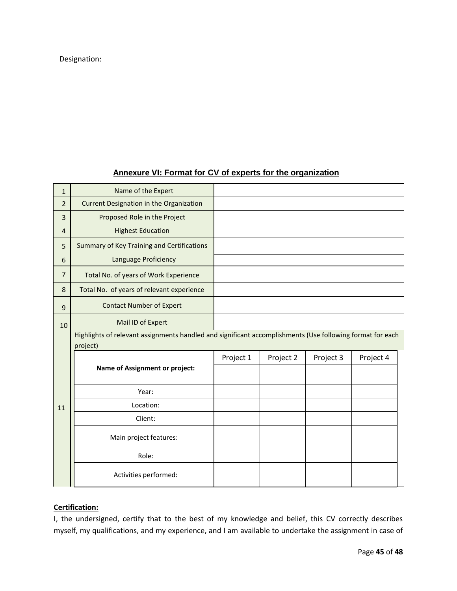## Designation:

## **Annexure VI: Format for CV of experts for the organization**

| $\mathbf{1}$   | Name of the Expert                                |                                                                                                           |           |           |           |
|----------------|---------------------------------------------------|-----------------------------------------------------------------------------------------------------------|-----------|-----------|-----------|
| $\overline{2}$ | Current Designation in the Organization           |                                                                                                           |           |           |           |
| 3              | Proposed Role in the Project                      |                                                                                                           |           |           |           |
| $\overline{4}$ | <b>Highest Education</b>                          |                                                                                                           |           |           |           |
| 5              | <b>Summary of Key Training and Certifications</b> |                                                                                                           |           |           |           |
| 6              | Language Proficiency                              |                                                                                                           |           |           |           |
| $\overline{7}$ | Total No. of years of Work Experience             |                                                                                                           |           |           |           |
| 8              | Total No. of years of relevant experience         |                                                                                                           |           |           |           |
| 9              | <b>Contact Number of Expert</b>                   |                                                                                                           |           |           |           |
| 10             | Mail ID of Expert                                 |                                                                                                           |           |           |           |
|                |                                                   | Highlights of relevant assignments handled and significant accomplishments (Use following format for each |           |           |           |
|                | project)                                          |                                                                                                           |           |           |           |
|                |                                                   | Project 1                                                                                                 | Project 2 | Project 3 | Project 4 |
|                | <b>Name of Assignment or project:</b>             |                                                                                                           |           |           |           |
|                | Year:                                             |                                                                                                           |           |           |           |
| 11             | Location:                                         |                                                                                                           |           |           |           |
|                | Client:                                           |                                                                                                           |           |           |           |
|                | Main project features:                            |                                                                                                           |           |           |           |
|                |                                                   |                                                                                                           |           |           |           |
|                | Role:                                             |                                                                                                           |           |           |           |

## **Certification:**

I, the undersigned, certify that to the best of my knowledge and belief, this CV correctly describes myself, my qualifications, and my experience, and I am available to undertake the assignment in case of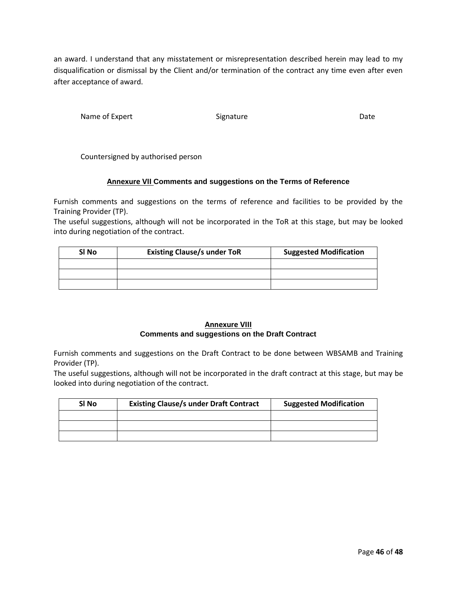an award. I understand that any misstatement or misrepresentation described herein may lead to my disqualification or dismissal by the Client and/or termination of the contract any time even after even after acceptance of award.

Name of Expert Signature Communications of Experiment Communications of the Date

Countersigned by authorised person

#### **Annexure VII Comments and suggestions on the Terms of Reference**

Furnish comments and suggestions on the terms of reference and facilities to be provided by the Training Provider (TP).

The useful suggestions, although will not be incorporated in the ToR at this stage, but may be looked into during negotiation of the contract.

| SI No | <b>Existing Clause/s under ToR</b> | <b>Suggested Modification</b> |
|-------|------------------------------------|-------------------------------|
|       |                                    |                               |
|       |                                    |                               |
|       |                                    |                               |

#### **Annexure VIII Comments and suggestions on the Draft Contract**

Furnish comments and suggestions on the Draft Contract to be done between WBSAMB and Training Provider (TP).

The useful suggestions, although will not be incorporated in the draft contract at this stage, but may be looked into during negotiation of the contract.

| <b>Existing Clause/s under Draft Contract</b><br>SI No |  | <b>Suggested Modification</b> |
|--------------------------------------------------------|--|-------------------------------|
|                                                        |  |                               |
|                                                        |  |                               |
|                                                        |  |                               |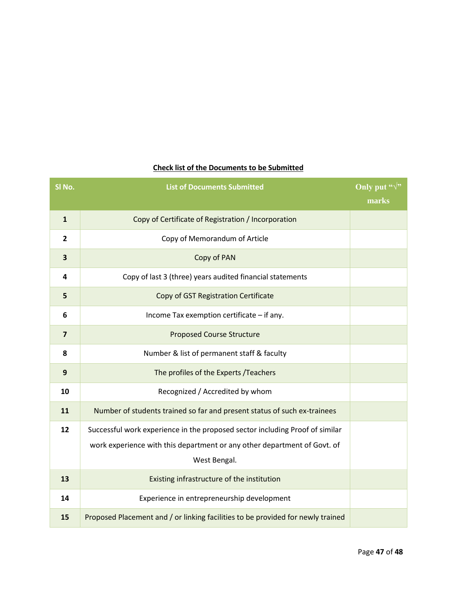| SI No.                  | <b>List of Documents Submitted</b>                                              | Only put " $\sqrt{ }$ " |
|-------------------------|---------------------------------------------------------------------------------|-------------------------|
|                         |                                                                                 | marks                   |
| $\mathbf{1}$            | Copy of Certificate of Registration / Incorporation                             |                         |
| $\overline{2}$          | Copy of Memorandum of Article                                                   |                         |
| 3                       | Copy of PAN                                                                     |                         |
| 4                       | Copy of last 3 (three) years audited financial statements                       |                         |
| 5                       | Copy of GST Registration Certificate                                            |                         |
| 6                       | Income Tax exemption certificate - if any.                                      |                         |
| $\overline{\mathbf{z}}$ | <b>Proposed Course Structure</b>                                                |                         |
| 8                       | Number & list of permanent staff & faculty                                      |                         |
| $\mathbf{9}$            | The profiles of the Experts /Teachers                                           |                         |
| 10                      | Recognized / Accredited by whom                                                 |                         |
| 11                      | Number of students trained so far and present status of such ex-trainees        |                         |
| 12                      | Successful work experience in the proposed sector including Proof of similar    |                         |
|                         | work experience with this department or any other department of Govt. of        |                         |
|                         | West Bengal.                                                                    |                         |
| 13                      | Existing infrastructure of the institution                                      |                         |
| 14                      | Experience in entrepreneurship development                                      |                         |
| 15                      | Proposed Placement and / or linking facilities to be provided for newly trained |                         |

## **Check list of the Documents to be Submitted**